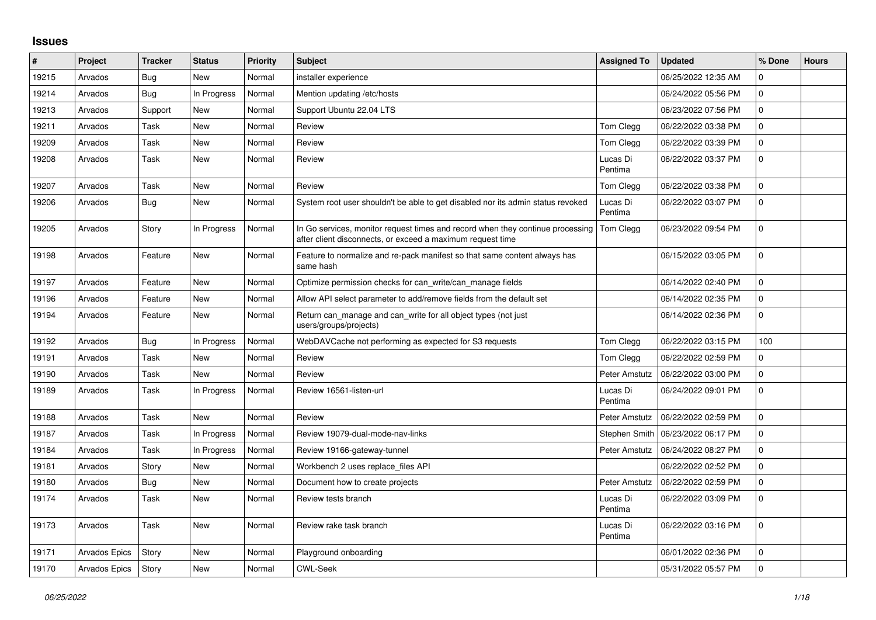## **Issues**

| $\vert$ # | Project       | <b>Tracker</b> | <b>Status</b> | Priority | <b>Subject</b>                                                                                                                               | <b>Assigned To</b>  | <b>Updated</b>      | % Done       | <b>Hours</b> |
|-----------|---------------|----------------|---------------|----------|----------------------------------------------------------------------------------------------------------------------------------------------|---------------------|---------------------|--------------|--------------|
| 19215     | Arvados       | Bug            | New           | Normal   | installer experience                                                                                                                         |                     | 06/25/2022 12:35 AM | 0            |              |
| 19214     | Arvados       | <b>Bug</b>     | In Progress   | Normal   | Mention updating /etc/hosts                                                                                                                  |                     | 06/24/2022 05:56 PM | 0            |              |
| 19213     | Arvados       | Support        | New           | Normal   | Support Ubuntu 22.04 LTS                                                                                                                     |                     | 06/23/2022 07:56 PM | 0            |              |
| 19211     | Arvados       | Task           | <b>New</b>    | Normal   | Review                                                                                                                                       | Tom Clegg           | 06/22/2022 03:38 PM | $\mathbf{0}$ |              |
| 19209     | Arvados       | Task           | New           | Normal   | Review                                                                                                                                       | Tom Clegg           | 06/22/2022 03:39 PM | $\Omega$     |              |
| 19208     | Arvados       | Task           | <b>New</b>    | Normal   | Review                                                                                                                                       | Lucas Di<br>Pentima | 06/22/2022 03:37 PM | $\mathbf 0$  |              |
| 19207     | Arvados       | Task           | New           | Normal   | Review                                                                                                                                       | Tom Clegg           | 06/22/2022 03:38 PM | $\mathbf{0}$ |              |
| 19206     | Arvados       | Bug            | New           | Normal   | System root user shouldn't be able to get disabled nor its admin status revoked                                                              | Lucas Di<br>Pentima | 06/22/2022 03:07 PM | 0            |              |
| 19205     | Arvados       | Story          | In Progress   | Normal   | In Go services, monitor request times and record when they continue processing<br>after client disconnects, or exceed a maximum request time | Tom Clegg           | 06/23/2022 09:54 PM | $\Omega$     |              |
| 19198     | Arvados       | Feature        | New           | Normal   | Feature to normalize and re-pack manifest so that same content always has<br>same hash                                                       |                     | 06/15/2022 03:05 PM | 0            |              |
| 19197     | Arvados       | Feature        | New           | Normal   | Optimize permission checks for can write/can manage fields                                                                                   |                     | 06/14/2022 02:40 PM | 0            |              |
| 19196     | Arvados       | Feature        | <b>New</b>    | Normal   | Allow API select parameter to add/remove fields from the default set                                                                         |                     | 06/14/2022 02:35 PM | $\mathbf 0$  |              |
| 19194     | Arvados       | Feature        | <b>New</b>    | Normal   | Return can manage and can write for all object types (not just<br>users/groups/projects)                                                     |                     | 06/14/2022 02:36 PM | 0            |              |
| 19192     | Arvados       | Bug            | In Progress   | Normal   | WebDAVCache not performing as expected for S3 requests                                                                                       | Tom Clegg           | 06/22/2022 03:15 PM | 100          |              |
| 19191     | Arvados       | Task           | New           | Normal   | Review                                                                                                                                       | Tom Clegg           | 06/22/2022 02:59 PM | 0            |              |
| 19190     | Arvados       | Task           | <b>New</b>    | Normal   | Review                                                                                                                                       | Peter Amstutz       | 06/22/2022 03:00 PM | 0            |              |
| 19189     | Arvados       | Task           | In Progress   | Normal   | Review 16561-listen-url                                                                                                                      | Lucas Di<br>Pentima | 06/24/2022 09:01 PM | 0            |              |
| 19188     | Arvados       | Task           | New           | Normal   | Review                                                                                                                                       | Peter Amstutz       | 06/22/2022 02:59 PM | $\mathbf 0$  |              |
| 19187     | Arvados       | Task           | In Progress   | Normal   | Review 19079-dual-mode-nav-links                                                                                                             | Stephen Smith       | 06/23/2022 06:17 PM | 0            |              |
| 19184     | Arvados       | Task           | In Progress   | Normal   | Review 19166-gateway-tunnel                                                                                                                  | Peter Amstutz       | 06/24/2022 08:27 PM | 0            |              |
| 19181     | Arvados       | Story          | <b>New</b>    | Normal   | Workbench 2 uses replace files API                                                                                                           |                     | 06/22/2022 02:52 PM | 0            |              |
| 19180     | Arvados       | Bug            | <b>New</b>    | Normal   | Document how to create projects                                                                                                              | Peter Amstutz       | 06/22/2022 02:59 PM | 0            |              |
| 19174     | Arvados       | Task           | <b>New</b>    | Normal   | Review tests branch                                                                                                                          | Lucas Di<br>Pentima | 06/22/2022 03:09 PM | $\Omega$     |              |
| 19173     | Arvados       | Task           | New           | Normal   | Review rake task branch                                                                                                                      | Lucas Di<br>Pentima | 06/22/2022 03:16 PM | $\mathbf 0$  |              |
| 19171     | Arvados Epics | Story          | <b>New</b>    | Normal   | Playground onboarding                                                                                                                        |                     | 06/01/2022 02:36 PM | 0            |              |
| 19170     | Arvados Epics | Story          | New           | Normal   | <b>CWL-Seek</b>                                                                                                                              |                     | 05/31/2022 05:57 PM | $\Omega$     |              |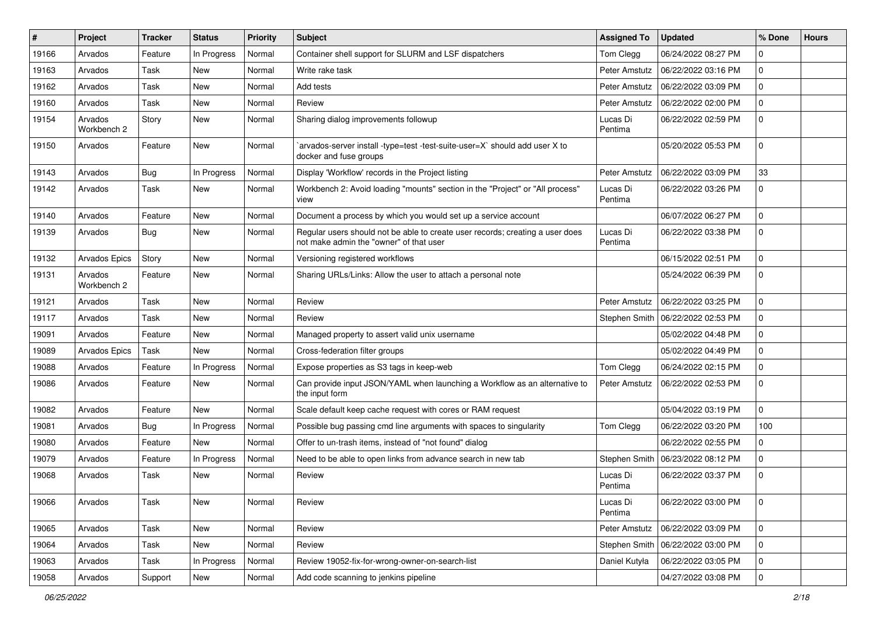| #     | <b>Project</b>         | <b>Tracker</b> | <b>Status</b> | Priority | Subject                                                                                                                  | <b>Assigned To</b>  | <b>Updated</b>      | % Done       | <b>Hours</b> |
|-------|------------------------|----------------|---------------|----------|--------------------------------------------------------------------------------------------------------------------------|---------------------|---------------------|--------------|--------------|
| 19166 | Arvados                | Feature        | In Progress   | Normal   | Container shell support for SLURM and LSF dispatchers                                                                    | Tom Clegg           | 06/24/2022 08:27 PM | 0            |              |
| 19163 | Arvados                | Task           | New           | Normal   | Write rake task                                                                                                          | Peter Amstutz       | 06/22/2022 03:16 PM | 0            |              |
| 19162 | Arvados                | Task           | <b>New</b>    | Normal   | Add tests                                                                                                                | Peter Amstutz       | 06/22/2022 03:09 PM | 0            |              |
| 19160 | Arvados                | Task           | New           | Normal   | Review                                                                                                                   | Peter Amstutz       | 06/22/2022 02:00 PM | 0            |              |
| 19154 | Arvados<br>Workbench 2 | Story          | New           | Normal   | Sharing dialog improvements followup                                                                                     | Lucas Di<br>Pentima | 06/22/2022 02:59 PM | 0            |              |
| 19150 | Arvados                | Feature        | <b>New</b>    | Normal   | arvados-server install -type=test -test-suite-user=X` should add user X to<br>docker and fuse groups                     |                     | 05/20/2022 05:53 PM | 0            |              |
| 19143 | Arvados                | Bug            | In Progress   | Normal   | Display 'Workflow' records in the Project listing                                                                        | Peter Amstutz       | 06/22/2022 03:09 PM | 33           |              |
| 19142 | Arvados                | Task           | New           | Normal   | Workbench 2: Avoid loading "mounts" section in the "Project" or "All process"<br>view                                    | Lucas Di<br>Pentima | 06/22/2022 03:26 PM | 0            |              |
| 19140 | Arvados                | Feature        | <b>New</b>    | Normal   | Document a process by which you would set up a service account                                                           |                     | 06/07/2022 06:27 PM | 0            |              |
| 19139 | Arvados                | Bug            | New           | Normal   | Regular users should not be able to create user records; creating a user does<br>not make admin the "owner" of that user | Lucas Di<br>Pentima | 06/22/2022 03:38 PM | 0            |              |
| 19132 | Arvados Epics          | Story          | <b>New</b>    | Normal   | Versioning registered workflows                                                                                          |                     | 06/15/2022 02:51 PM | 0            |              |
| 19131 | Arvados<br>Workbench 2 | Feature        | New           | Normal   | Sharing URLs/Links: Allow the user to attach a personal note                                                             |                     | 05/24/2022 06:39 PM | 0            |              |
| 19121 | Arvados                | Task           | <b>New</b>    | Normal   | Review                                                                                                                   | Peter Amstutz       | 06/22/2022 03:25 PM | 0            |              |
| 19117 | Arvados                | Task           | New           | Normal   | Review                                                                                                                   | Stephen Smith       | 06/22/2022 02:53 PM | $\mathbf{0}$ |              |
| 19091 | Arvados                | Feature        | New           | Normal   | Managed property to assert valid unix username                                                                           |                     | 05/02/2022 04:48 PM | 0            |              |
| 19089 | <b>Arvados Epics</b>   | Task           | <b>New</b>    | Normal   | Cross-federation filter groups                                                                                           |                     | 05/02/2022 04:49 PM | 0            |              |
| 19088 | Arvados                | Feature        | In Progress   | Normal   | Expose properties as S3 tags in keep-web                                                                                 | Tom Clegg           | 06/24/2022 02:15 PM | 0            |              |
| 19086 | Arvados                | Feature        | New           | Normal   | Can provide input JSON/YAML when launching a Workflow as an alternative to<br>the input form                             | Peter Amstutz       | 06/22/2022 02:53 PM | 0            |              |
| 19082 | Arvados                | Feature        | <b>New</b>    | Normal   | Scale default keep cache request with cores or RAM request                                                               |                     | 05/04/2022 03:19 PM | $\Omega$     |              |
| 19081 | Arvados                | Bug            | In Progress   | Normal   | Possible bug passing cmd line arguments with spaces to singularity                                                       | Tom Clegg           | 06/22/2022 03:20 PM | 100          |              |
| 19080 | Arvados                | Feature        | <b>New</b>    | Normal   | Offer to un-trash items, instead of "not found" dialog                                                                   |                     | 06/22/2022 02:55 PM | 0            |              |
| 19079 | Arvados                | Feature        | In Progress   | Normal   | Need to be able to open links from advance search in new tab                                                             | Stephen Smith       | 06/23/2022 08:12 PM | 0            |              |
| 19068 | Arvados                | Task           | <b>New</b>    | Normal   | Review                                                                                                                   | Lucas Di<br>Pentima | 06/22/2022 03:37 PM | 0            |              |
| 19066 | Arvados                | Task           | New           | Normal   | Review                                                                                                                   | Lucas Di<br>Pentima | 06/22/2022 03:00 PM | l 0          |              |
| 19065 | Arvados                | Task           | New           | Normal   | Review                                                                                                                   | Peter Amstutz       | 06/22/2022 03:09 PM | 0            |              |
| 19064 | Arvados                | Task           | New           | Normal   | Review                                                                                                                   | Stephen Smith       | 06/22/2022 03:00 PM | $\mathbf 0$  |              |
| 19063 | Arvados                | Task           | In Progress   | Normal   | Review 19052-fix-for-wrong-owner-on-search-list                                                                          | Daniel Kutyła       | 06/22/2022 03:05 PM | 0            |              |
| 19058 | Arvados                | Support        | New           | Normal   | Add code scanning to jenkins pipeline                                                                                    |                     | 04/27/2022 03:08 PM | 0            |              |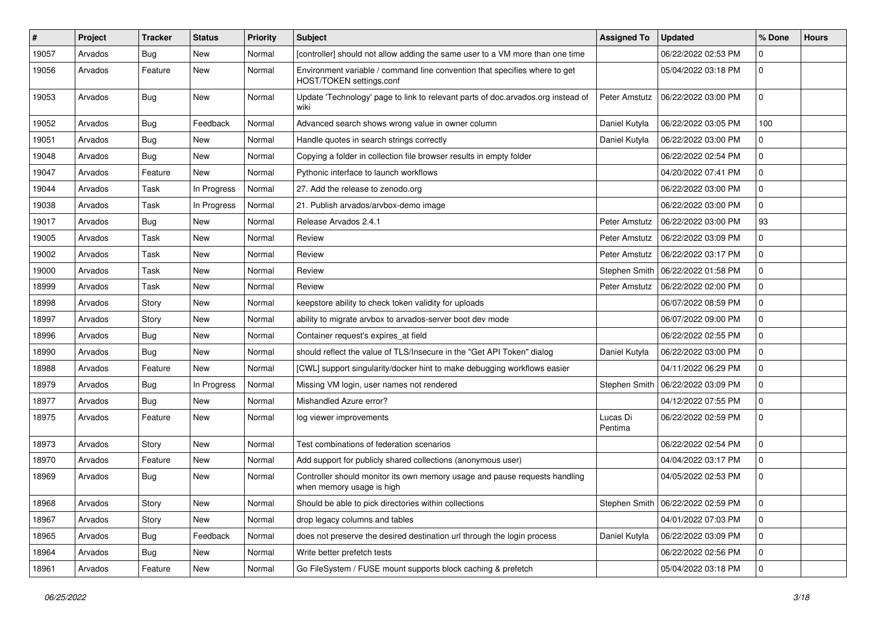| #     | Project | <b>Tracker</b> | <b>Status</b> | <b>Priority</b> | <b>Subject</b>                                                                                          | <b>Assigned To</b>  | <b>Updated</b>                      | % Done      | <b>Hours</b> |
|-------|---------|----------------|---------------|-----------------|---------------------------------------------------------------------------------------------------------|---------------------|-------------------------------------|-------------|--------------|
| 19057 | Arvados | Bug            | New           | Normal          | [controller] should not allow adding the same user to a VM more than one time                           |                     | 06/22/2022 02:53 PM                 | 0           |              |
| 19056 | Arvados | Feature        | New           | Normal          | Environment variable / command line convention that specifies where to get<br>HOST/TOKEN settings.conf  |                     | 05/04/2022 03:18 PM                 | $\mathbf 0$ |              |
| 19053 | Arvados | Bug            | New           | Normal          | Update 'Technology' page to link to relevant parts of doc.arvados.org instead of<br>wiki                | Peter Amstutz       | 06/22/2022 03:00 PM                 | 0           |              |
| 19052 | Arvados | Bug            | Feedback      | Normal          | Advanced search shows wrong value in owner column                                                       | Daniel Kutyła       | 06/22/2022 03:05 PM                 | 100         |              |
| 19051 | Arvados | Bug            | <b>New</b>    | Normal          | Handle quotes in search strings correctly                                                               | Daniel Kutyła       | 06/22/2022 03:00 PM                 | 0           |              |
| 19048 | Arvados | Bug            | New           | Normal          | Copying a folder in collection file browser results in empty folder                                     |                     | 06/22/2022 02:54 PM                 | 0           |              |
| 19047 | Arvados | Feature        | New           | Normal          | Pythonic interface to launch workflows                                                                  |                     | 04/20/2022 07:41 PM                 | 0           |              |
| 19044 | Arvados | Task           | In Progress   | Normal          | 27. Add the release to zenodo.org                                                                       |                     | 06/22/2022 03:00 PM                 | $\mathbf 0$ |              |
| 19038 | Arvados | Task           | In Progress   | Normal          | 21. Publish arvados/arvbox-demo image                                                                   |                     | 06/22/2022 03:00 PM                 | $\mathbf 0$ |              |
| 19017 | Arvados | Bug            | <b>New</b>    | Normal          | Release Arvados 2.4.1                                                                                   | Peter Amstutz       | 06/22/2022 03:00 PM                 | 93          |              |
| 19005 | Arvados | Task           | <b>New</b>    | Normal          | Review                                                                                                  | Peter Amstutz       | 06/22/2022 03:09 PM                 | 0           |              |
| 19002 | Arvados | Task           | New           | Normal          | Review                                                                                                  | Peter Amstutz       | 06/22/2022 03:17 PM                 | $\Omega$    |              |
| 19000 | Arvados | Task           | <b>New</b>    | Normal          | Review                                                                                                  | Stephen Smith       | 06/22/2022 01:58 PM                 | 0           |              |
| 18999 | Arvados | Task           | New           | Normal          | Review                                                                                                  | Peter Amstutz       | 06/22/2022 02:00 PM                 | $\mathbf 0$ |              |
| 18998 | Arvados | Story          | New           | Normal          | keepstore ability to check token validity for uploads                                                   |                     | 06/07/2022 08:59 PM                 | 0           |              |
| 18997 | Arvados | Story          | <b>New</b>    | Normal          | ability to migrate arvbox to arvados-server boot dev mode                                               |                     | 06/07/2022 09:00 PM                 | 0           |              |
| 18996 | Arvados | Bug            | New           | Normal          | Container request's expires_at field                                                                    |                     | 06/22/2022 02:55 PM                 | 0           |              |
| 18990 | Arvados | Bug            | <b>New</b>    | Normal          | should reflect the value of TLS/Insecure in the "Get API Token" dialog                                  | Daniel Kutyła       | 06/22/2022 03:00 PM                 | 0           |              |
| 18988 | Arvados | Feature        | New           | Normal          | [CWL] support singularity/docker hint to make debugging workflows easier                                |                     | 04/11/2022 06:29 PM                 | $\mathbf 0$ |              |
| 18979 | Arvados | <b>Bug</b>     | In Progress   | Normal          | Missing VM login, user names not rendered                                                               | Stephen Smith       | 06/22/2022 03:09 PM                 | 0           |              |
| 18977 | Arvados | Bug            | <b>New</b>    | Normal          | Mishandled Azure error?                                                                                 |                     | 04/12/2022 07:55 PM                 | $\mathbf 0$ |              |
| 18975 | Arvados | Feature        | New           | Normal          | log viewer improvements                                                                                 | Lucas Di<br>Pentima | 06/22/2022 02:59 PM                 | 0           |              |
| 18973 | Arvados | Story          | <b>New</b>    | Normal          | Test combinations of federation scenarios                                                               |                     | 06/22/2022 02:54 PM                 | $\mathbf 0$ |              |
| 18970 | Arvados | Feature        | New           | Normal          | Add support for publicly shared collections (anonymous user)                                            |                     | 04/04/2022 03:17 PM                 | $\Omega$    |              |
| 18969 | Arvados | Bug            | <b>New</b>    | Normal          | Controller should monitor its own memory usage and pause requests handling<br>when memory usage is high |                     | 04/05/2022 02:53 PM                 | $\mathbf 0$ |              |
| 18968 | Arvados | Story          | New           | Normal          | Should be able to pick directories within collections                                                   |                     | Stephen Smith   06/22/2022 02:59 PM | 0           |              |
| 18967 | Arvados | Story          | New           | Normal          | drop legacy columns and tables                                                                          |                     | 04/01/2022 07:03 PM                 | $\mathbf 0$ |              |
| 18965 | Arvados | <b>Bug</b>     | Feedback      | Normal          | does not preserve the desired destination url through the login process                                 | Daniel Kutyła       | 06/22/2022 03:09 PM                 | $\mathbf 0$ |              |
| 18964 | Arvados | <b>Bug</b>     | New           | Normal          | Write better prefetch tests                                                                             |                     | 06/22/2022 02:56 PM                 | $\mathbf 0$ |              |
| 18961 | Arvados | Feature        | New           | Normal          | Go FileSystem / FUSE mount supports block caching & prefetch                                            |                     | 05/04/2022 03:18 PM                 | $\mathbf 0$ |              |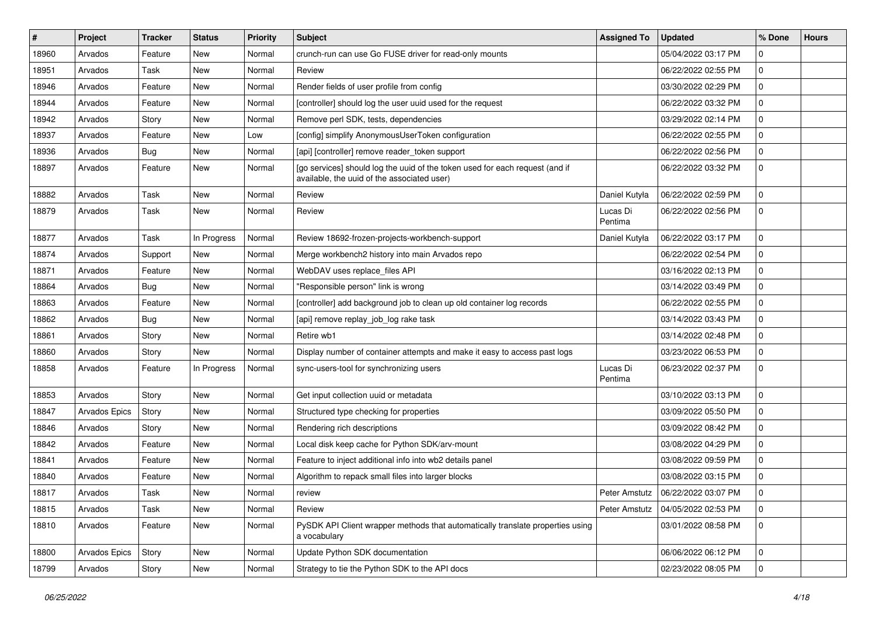| #     | Project       | <b>Tracker</b> | <b>Status</b> | <b>Priority</b> | Subject                                                                                                                     | <b>Assigned To</b>  | <b>Updated</b>      | % Done       | <b>Hours</b> |
|-------|---------------|----------------|---------------|-----------------|-----------------------------------------------------------------------------------------------------------------------------|---------------------|---------------------|--------------|--------------|
| 18960 | Arvados       | Feature        | New           | Normal          | crunch-run can use Go FUSE driver for read-only mounts                                                                      |                     | 05/04/2022 03:17 PM | 0            |              |
| 18951 | Arvados       | Task           | <b>New</b>    | Normal          | Review                                                                                                                      |                     | 06/22/2022 02:55 PM | 0            |              |
| 18946 | Arvados       | Feature        | New           | Normal          | Render fields of user profile from config                                                                                   |                     | 03/30/2022 02:29 PM | $\mathbf{0}$ |              |
| 18944 | Arvados       | Feature        | New           | Normal          | [controller] should log the user uuid used for the request                                                                  |                     | 06/22/2022 03:32 PM | 0            |              |
| 18942 | Arvados       | Story          | <b>New</b>    | Normal          | Remove perl SDK, tests, dependencies                                                                                        |                     | 03/29/2022 02:14 PM | 0            |              |
| 18937 | Arvados       | Feature        | New           | Low             | [config] simplify AnonymousUserToken configuration                                                                          |                     | 06/22/2022 02:55 PM | 0            |              |
| 18936 | Arvados       | Bug            | <b>New</b>    | Normal          | [api] [controller] remove reader_token support                                                                              |                     | 06/22/2022 02:56 PM | 0            |              |
| 18897 | Arvados       | Feature        | New           | Normal          | [go services] should log the uuid of the token used for each request (and if<br>available, the uuid of the associated user) |                     | 06/22/2022 03:32 PM | 0            |              |
| 18882 | Arvados       | Task           | <b>New</b>    | Normal          | Review                                                                                                                      | Daniel Kutyła       | 06/22/2022 02:59 PM | 0            |              |
| 18879 | Arvados       | Task           | <b>New</b>    | Normal          | Review                                                                                                                      | Lucas Di<br>Pentima | 06/22/2022 02:56 PM | 0            |              |
| 18877 | Arvados       | Task           | In Progress   | Normal          | Review 18692-frozen-projects-workbench-support                                                                              | Daniel Kutyła       | 06/22/2022 03:17 PM | 0            |              |
| 18874 | Arvados       | Support        | New           | Normal          | Merge workbench2 history into main Arvados repo                                                                             |                     | 06/22/2022 02:54 PM | 0            |              |
| 18871 | Arvados       | Feature        | <b>New</b>    | Normal          | WebDAV uses replace_files API                                                                                               |                     | 03/16/2022 02:13 PM | 0            |              |
| 18864 | Arvados       | Bug            | New           | Normal          | "Responsible person" link is wrong                                                                                          |                     | 03/14/2022 03:49 PM | $\mathbf{0}$ |              |
| 18863 | Arvados       | Feature        | New           | Normal          | [controller] add background job to clean up old container log records                                                       |                     | 06/22/2022 02:55 PM | 0            |              |
| 18862 | Arvados       | Bug            | <b>New</b>    | Normal          | [api] remove replay_job_log rake task                                                                                       |                     | 03/14/2022 03:43 PM | 0            |              |
| 18861 | Arvados       | Story          | New           | Normal          | Retire wb1                                                                                                                  |                     | 03/14/2022 02:48 PM | 0            |              |
| 18860 | Arvados       | Story          | <b>New</b>    | Normal          | Display number of container attempts and make it easy to access past logs                                                   |                     | 03/23/2022 06:53 PM | 0            |              |
| 18858 | Arvados       | Feature        | In Progress   | Normal          | sync-users-tool for synchronizing users                                                                                     | Lucas Di<br>Pentima | 06/23/2022 02:37 PM | 0            |              |
| 18853 | Arvados       | Story          | <b>New</b>    | Normal          | Get input collection uuid or metadata                                                                                       |                     | 03/10/2022 03:13 PM | 0            |              |
| 18847 | Arvados Epics | Story          | New           | Normal          | Structured type checking for properties                                                                                     |                     | 03/09/2022 05:50 PM | $\mathbf{0}$ |              |
| 18846 | Arvados       | Story          | New           | Normal          | Rendering rich descriptions                                                                                                 |                     | 03/09/2022 08:42 PM | 0            |              |
| 18842 | Arvados       | Feature        | <b>New</b>    | Normal          | Local disk keep cache for Python SDK/arv-mount                                                                              |                     | 03/08/2022 04:29 PM | 0            |              |
| 18841 | Arvados       | Feature        | New           | Normal          | Feature to inject additional info into wb2 details panel                                                                    |                     | 03/08/2022 09:59 PM | 0            |              |
| 18840 | Arvados       | Feature        | New           | Normal          | Algorithm to repack small files into larger blocks                                                                          |                     | 03/08/2022 03:15 PM | 0            |              |
| 18817 | Arvados       | Task           | New           | Normal          | review                                                                                                                      | Peter Amstutz       | 06/22/2022 03:07 PM | $\Omega$     |              |
| 18815 | Arvados       | Task           | New           | Normal          | Review                                                                                                                      | Peter Amstutz       | 04/05/2022 02:53 PM | 0            |              |
| 18810 | Arvados       | Feature        | New           | Normal          | PySDK API Client wrapper methods that automatically translate properties using<br>a vocabulary                              |                     | 03/01/2022 08:58 PM | $\mathbf 0$  |              |
| 18800 | Arvados Epics | Story          | New           | Normal          | Update Python SDK documentation                                                                                             |                     | 06/06/2022 06:12 PM | $\mathbf 0$  |              |
| 18799 | Arvados       | Story          | New           | Normal          | Strategy to tie the Python SDK to the API docs                                                                              |                     | 02/23/2022 08:05 PM | 0            |              |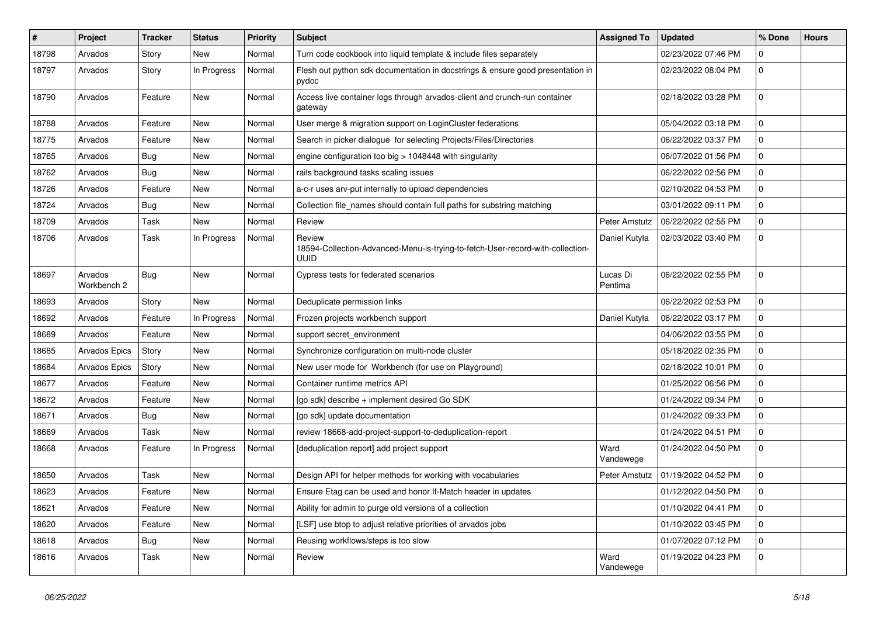| $\sharp$ | Project                | <b>Tracker</b> | <b>Status</b> | <b>Priority</b> | <b>Subject</b>                                                                                   | <b>Assigned To</b>  | <b>Updated</b>      | % Done       | <b>Hours</b> |
|----------|------------------------|----------------|---------------|-----------------|--------------------------------------------------------------------------------------------------|---------------------|---------------------|--------------|--------------|
| 18798    | Arvados                | Story          | <b>New</b>    | Normal          | Turn code cookbook into liquid template & include files separately                               |                     | 02/23/2022 07:46 PM | 0            |              |
| 18797    | Arvados                | Story          | In Progress   | Normal          | Flesh out python sdk documentation in docstrings & ensure good presentation in<br>pydoc          |                     | 02/23/2022 08:04 PM | $\Omega$     |              |
| 18790    | Arvados                | Feature        | New           | Normal          | Access live container logs through arvados-client and crunch-run container<br>gateway            |                     | 02/18/2022 03:28 PM | $\Omega$     |              |
| 18788    | Arvados                | Feature        | New           | Normal          | User merge & migration support on LoginCluster federations                                       |                     | 05/04/2022 03:18 PM | $\mathbf{0}$ |              |
| 18775    | Arvados                | Feature        | <b>New</b>    | Normal          | Search in picker dialogue for selecting Projects/Files/Directories                               |                     | 06/22/2022 03:37 PM | 0            |              |
| 18765    | Arvados                | Bug            | New           | Normal          | engine configuration too big $>$ 1048448 with singularity                                        |                     | 06/07/2022 01:56 PM | 0            |              |
| 18762    | Arvados                | <b>Bug</b>     | <b>New</b>    | Normal          | rails background tasks scaling issues                                                            |                     | 06/22/2022 02:56 PM | 0            |              |
| 18726    | Arvados                | Feature        | New           | Normal          | a-c-r uses arv-put internally to upload dependencies                                             |                     | 02/10/2022 04:53 PM | 0            |              |
| 18724    | Arvados                | <b>Bug</b>     | <b>New</b>    | Normal          | Collection file_names should contain full paths for substring matching                           |                     | 03/01/2022 09:11 PM | 0            |              |
| 18709    | Arvados                | Task           | <b>New</b>    | Normal          | Review                                                                                           | Peter Amstutz       | 06/22/2022 02:55 PM | 0            |              |
| 18706    | Arvados                | Task           | In Progress   | Normal          | Review<br>18594-Collection-Advanced-Menu-is-trying-to-fetch-User-record-with-collection-<br>uuid | Daniel Kutyła       | 02/03/2022 03:40 PM | 0            |              |
| 18697    | Arvados<br>Workbench 2 | <b>Bug</b>     | <b>New</b>    | Normal          | Cypress tests for federated scenarios                                                            | Lucas Di<br>Pentima | 06/22/2022 02:55 PM | $\Omega$     |              |
| 18693    | Arvados                | Story          | New           | Normal          | Deduplicate permission links                                                                     |                     | 06/22/2022 02:53 PM | 0            |              |
| 18692    | Arvados                | Feature        | In Progress   | Normal          | Frozen projects workbench support                                                                | Daniel Kutyła       | 06/22/2022 03:17 PM | 0            |              |
| 18689    | Arvados                | Feature        | New           | Normal          | support secret environment                                                                       |                     | 04/06/2022 03:55 PM | 0            |              |
| 18685    | <b>Arvados Epics</b>   | Story          | New           | Normal          | Synchronize configuration on multi-node cluster                                                  |                     | 05/18/2022 02:35 PM | $\mathbf 0$  |              |
| 18684    | <b>Arvados Epics</b>   | Story          | New           | Normal          | New user mode for Workbench (for use on Playground)                                              |                     | 02/18/2022 10:01 PM | $\mathbf{0}$ |              |
| 18677    | Arvados                | Feature        | New           | Normal          | Container runtime metrics API                                                                    |                     | 01/25/2022 06:56 PM | $\mathbf{0}$ |              |
| 18672    | Arvados                | Feature        | New           | Normal          | [go sdk] describe + implement desired Go SDK                                                     |                     | 01/24/2022 09:34 PM | $\mathbf{0}$ |              |
| 18671    | Arvados                | <b>Bug</b>     | New           | Normal          | [go sdk] update documentation                                                                    |                     | 01/24/2022 09:33 PM | 0            |              |
| 18669    | Arvados                | Task           | <b>New</b>    | Normal          | review 18668-add-project-support-to-deduplication-report                                         |                     | 01/24/2022 04:51 PM | 0            |              |
| 18668    | Arvados                | Feature        | In Progress   | Normal          | [deduplication report] add project support                                                       | Ward<br>Vandewege   | 01/24/2022 04:50 PM | $\mathbf 0$  |              |
| 18650    | Arvados                | Task           | <b>New</b>    | Normal          | Design API for helper methods for working with vocabularies                                      | Peter Amstutz       | 01/19/2022 04:52 PM | $\mathbf 0$  |              |
| 18623    | Arvados                | Feature        | New           | Normal          | Ensure Etag can be used and honor If-Match header in updates                                     |                     | 01/12/2022 04:50 PM | $\Omega$     |              |
| 18621    | Arvados                | Feature        | New           | Normal          | Ability for admin to purge old versions of a collection                                          |                     | 01/10/2022 04:41 PM | $\Omega$     |              |
| 18620    | Arvados                | Feature        | New           | Normal          | [LSF] use btop to adjust relative priorities of arvados jobs                                     |                     | 01/10/2022 03:45 PM | $\Omega$     |              |
| 18618    | Arvados                | Bug            | New           | Normal          | Reusing workflows/steps is too slow                                                              |                     | 01/07/2022 07:12 PM | $\Omega$     |              |
| 18616    | Arvados                | Task           | New           | Normal          | Review                                                                                           | Ward<br>Vandewege   | 01/19/2022 04:23 PM | $\Omega$     |              |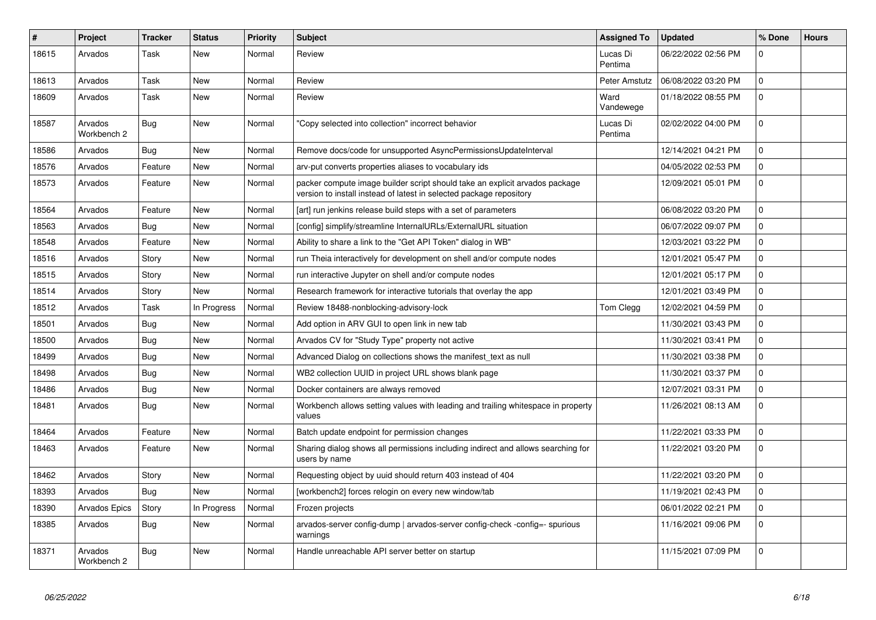| #     | Project                | <b>Tracker</b> | <b>Status</b> | <b>Priority</b> | <b>Subject</b>                                                                                                                                     | <b>Assigned To</b>  | <b>Updated</b>      | % Done      | <b>Hours</b> |
|-------|------------------------|----------------|---------------|-----------------|----------------------------------------------------------------------------------------------------------------------------------------------------|---------------------|---------------------|-------------|--------------|
| 18615 | Arvados                | Task           | New           | Normal          | Review                                                                                                                                             | Lucas Di<br>Pentima | 06/22/2022 02:56 PM | $\Omega$    |              |
| 18613 | Arvados                | Task           | New           | Normal          | Review                                                                                                                                             | Peter Amstutz       | 06/08/2022 03:20 PM | $\Omega$    |              |
| 18609 | Arvados                | Task           | <b>New</b>    | Normal          | Review                                                                                                                                             | Ward<br>Vandewege   | 01/18/2022 08:55 PM | $\Omega$    |              |
| 18587 | Arvados<br>Workbench 2 | Bug            | New           | Normal          | 'Copy selected into collection" incorrect behavior                                                                                                 | Lucas Di<br>Pentima | 02/02/2022 04:00 PM | $\Omega$    |              |
| 18586 | Arvados                | Bug            | New           | Normal          | Remove docs/code for unsupported AsyncPermissionsUpdateInterval                                                                                    |                     | 12/14/2021 04:21 PM | $\mathbf 0$ |              |
| 18576 | Arvados                | Feature        | New           | Normal          | arv-put converts properties aliases to vocabulary ids                                                                                              |                     | 04/05/2022 02:53 PM | $\mathbf 0$ |              |
| 18573 | Arvados                | Feature        | New           | Normal          | packer compute image builder script should take an explicit arvados package<br>version to install instead of latest in selected package repository |                     | 12/09/2021 05:01 PM | $\Omega$    |              |
| 18564 | Arvados                | Feature        | New           | Normal          | [art] run jenkins release build steps with a set of parameters                                                                                     |                     | 06/08/2022 03:20 PM | $\mathbf 0$ |              |
| 18563 | Arvados                | Bug            | New           | Normal          | [config] simplify/streamline InternalURLs/ExternalURL situation                                                                                    |                     | 06/07/2022 09:07 PM | $\mathbf 0$ |              |
| 18548 | Arvados                | Feature        | <b>New</b>    | Normal          | Ability to share a link to the "Get API Token" dialog in WB"                                                                                       |                     | 12/03/2021 03:22 PM | $\Omega$    |              |
| 18516 | Arvados                | Story          | New           | Normal          | run Theia interactively for development on shell and/or compute nodes                                                                              |                     | 12/01/2021 05:47 PM | $\mathbf 0$ |              |
| 18515 | Arvados                | Story          | New           | Normal          | run interactive Jupyter on shell and/or compute nodes                                                                                              |                     | 12/01/2021 05:17 PM | 0           |              |
| 18514 | Arvados                | Story          | New           | Normal          | Research framework for interactive tutorials that overlay the app                                                                                  |                     | 12/01/2021 03:49 PM | $\mathbf 0$ |              |
| 18512 | Arvados                | Task           | In Progress   | Normal          | Review 18488-nonblocking-advisory-lock                                                                                                             | Tom Clegg           | 12/02/2021 04:59 PM | $\Omega$    |              |
| 18501 | Arvados                | Bug            | New           | Normal          | Add option in ARV GUI to open link in new tab                                                                                                      |                     | 11/30/2021 03:43 PM | $\mathbf 0$ |              |
| 18500 | Arvados                | Bug            | New           | Normal          | Arvados CV for "Study Type" property not active                                                                                                    |                     | 11/30/2021 03:41 PM | $\mathbf 0$ |              |
| 18499 | Arvados                | Bug            | New           | Normal          | Advanced Dialog on collections shows the manifest text as null                                                                                     |                     | 11/30/2021 03:38 PM | $\mathbf 0$ |              |
| 18498 | Arvados                | Bug            | New           | Normal          | WB2 collection UUID in project URL shows blank page                                                                                                |                     | 11/30/2021 03:37 PM | $\Omega$    |              |
| 18486 | Arvados                | Bug            | <b>New</b>    | Normal          | Docker containers are always removed                                                                                                               |                     | 12/07/2021 03:31 PM | $\Omega$    |              |
| 18481 | Arvados                | Bug            | New           | Normal          | Workbench allows setting values with leading and trailing whitespace in property<br>values                                                         |                     | 11/26/2021 08:13 AM | $\Omega$    |              |
| 18464 | Arvados                | Feature        | New           | Normal          | Batch update endpoint for permission changes                                                                                                       |                     | 11/22/2021 03:33 PM | $\Omega$    |              |
| 18463 | Arvados                | Feature        | New           | Normal          | Sharing dialog shows all permissions including indirect and allows searching for<br>users by name                                                  |                     | 11/22/2021 03:20 PM | $\Omega$    |              |
| 18462 | Arvados                | Story          | New           | Normal          | Requesting object by uuid should return 403 instead of 404                                                                                         |                     | 11/22/2021 03:20 PM | $\mathbf 0$ |              |
| 18393 | Arvados                | <b>Bug</b>     | <b>New</b>    | Normal          | [workbench2] forces relogin on every new window/tab                                                                                                |                     | 11/19/2021 02:43 PM | $\Omega$    |              |
| 18390 | Arvados Epics          | Story          | In Progress   | Normal          | Frozen projects                                                                                                                                    |                     | 06/01/2022 02:21 PM | $\Omega$    |              |
| 18385 | Arvados                | Bug            | New           | Normal          | arvados-server config-dump   arvados-server config-check -config=- spurious<br>warnings                                                            |                     | 11/16/2021 09:06 PM | $\Omega$    |              |
| 18371 | Arvados<br>Workbench 2 | Bug            | <b>New</b>    | Normal          | Handle unreachable API server better on startup                                                                                                    |                     | 11/15/2021 07:09 PM | $\Omega$    |              |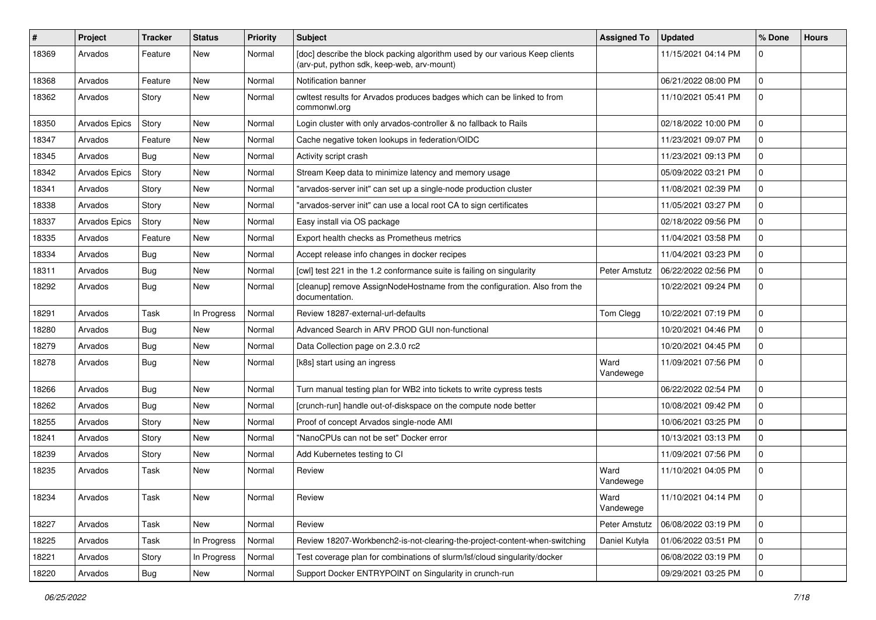| ∦     | Project              | <b>Tracker</b> | <b>Status</b> | <b>Priority</b> | <b>Subject</b>                                                                                                            | <b>Assigned To</b> | <b>Updated</b>      | % Done      | <b>Hours</b> |
|-------|----------------------|----------------|---------------|-----------------|---------------------------------------------------------------------------------------------------------------------------|--------------------|---------------------|-------------|--------------|
| 18369 | Arvados              | Feature        | New           | Normal          | [doc] describe the block packing algorithm used by our various Keep clients<br>(arv-put, python sdk, keep-web, arv-mount) |                    | 11/15/2021 04:14 PM | $\Omega$    |              |
| 18368 | Arvados              | Feature        | New           | Normal          | Notification banner                                                                                                       |                    | 06/21/2022 08:00 PM | 0           |              |
| 18362 | Arvados              | Story          | New           | Normal          | cwltest results for Arvados produces badges which can be linked to from<br>commonwl.org                                   |                    | 11/10/2021 05:41 PM | 0           |              |
| 18350 | <b>Arvados Epics</b> | Story          | <b>New</b>    | Normal          | Login cluster with only arvados-controller & no fallback to Rails                                                         |                    | 02/18/2022 10:00 PM | $\Omega$    |              |
| 18347 | Arvados              | Feature        | <b>New</b>    | Normal          | Cache negative token lookups in federation/OIDC                                                                           |                    | 11/23/2021 09:07 PM | 0           |              |
| 18345 | Arvados              | Bug            | New           | Normal          | Activity script crash                                                                                                     |                    | 11/23/2021 09:13 PM | 0           |              |
| 18342 | <b>Arvados Epics</b> | Story          | New           | Normal          | Stream Keep data to minimize latency and memory usage                                                                     |                    | 05/09/2022 03:21 PM | 0           |              |
| 18341 | Arvados              | Story          | <b>New</b>    | Normal          | "arvados-server init" can set up a single-node production cluster                                                         |                    | 11/08/2021 02:39 PM | 0           |              |
| 18338 | Arvados              | Story          | <b>New</b>    | Normal          | "arvados-server init" can use a local root CA to sign certificates                                                        |                    | 11/05/2021 03:27 PM | $\mathbf 0$ |              |
| 18337 | <b>Arvados Epics</b> | Story          | New           | Normal          | Easy install via OS package                                                                                               |                    | 02/18/2022 09:56 PM | 0           |              |
| 18335 | Arvados              | Feature        | <b>New</b>    | Normal          | Export health checks as Prometheus metrics                                                                                |                    | 11/04/2021 03:58 PM | 0           |              |
| 18334 | Arvados              | Bug            | <b>New</b>    | Normal          | Accept release info changes in docker recipes                                                                             |                    | 11/04/2021 03:23 PM | 0           |              |
| 18311 | Arvados              | Bug            | New           | Normal          | [cwl] test 221 in the 1.2 conformance suite is failing on singularity                                                     | Peter Amstutz      | 06/22/2022 02:56 PM | 0           |              |
| 18292 | Arvados              | Bug            | <b>New</b>    | Normal          | [cleanup] remove AssignNodeHostname from the configuration. Also from the<br>documentation.                               |                    | 10/22/2021 09:24 PM | $\Omega$    |              |
| 18291 | Arvados              | Task           | In Progress   | Normal          | Review 18287-external-url-defaults                                                                                        | Tom Clegg          | 10/22/2021 07:19 PM | $\mathbf 0$ |              |
| 18280 | Arvados              | Bug            | <b>New</b>    | Normal          | Advanced Search in ARV PROD GUI non-functional                                                                            |                    | 10/20/2021 04:46 PM | 0           |              |
| 18279 | Arvados              | Bug            | New           | Normal          | Data Collection page on 2.3.0 rc2                                                                                         |                    | 10/20/2021 04:45 PM | 0           |              |
| 18278 | Arvados              | Bug            | <b>New</b>    | Normal          | [k8s] start using an ingress                                                                                              | Ward<br>Vandewege  | 11/09/2021 07:56 PM | $\Omega$    |              |
| 18266 | Arvados              | Bug            | <b>New</b>    | Normal          | Turn manual testing plan for WB2 into tickets to write cypress tests                                                      |                    | 06/22/2022 02:54 PM | $\mathbf 0$ |              |
| 18262 | Arvados              | Bug            | New           | Normal          | [crunch-run] handle out-of-diskspace on the compute node better                                                           |                    | 10/08/2021 09:42 PM | 0           |              |
| 18255 | Arvados              | Story          | New           | Normal          | Proof of concept Arvados single-node AMI                                                                                  |                    | 10/06/2021 03:25 PM | 0           |              |
| 18241 | Arvados              | Story          | <b>New</b>    | Normal          | "NanoCPUs can not be set" Docker error                                                                                    |                    | 10/13/2021 03:13 PM | $\Omega$    |              |
| 18239 | Arvados              | Story          | New           | Normal          | Add Kubernetes testing to CI                                                                                              |                    | 11/09/2021 07:56 PM | 0           |              |
| 18235 | Arvados              | Task           | New           | Normal          | Review                                                                                                                    | Ward<br>Vandewege  | 11/10/2021 04:05 PM | $\Omega$    |              |
| 18234 | Arvados              | Task           | New           | Normal          | Review                                                                                                                    | Ward<br>Vandewege  | 11/10/2021 04:14 PM | 0           |              |
| 18227 | Arvados              | Task           | New           | Normal          | Review                                                                                                                    | Peter Amstutz      | 06/08/2022 03:19 PM | $\mathbf 0$ |              |
| 18225 | Arvados              | Task           | In Progress   | Normal          | Review 18207-Workbench2-is-not-clearing-the-project-content-when-switching                                                | Daniel Kutyła      | 01/06/2022 03:51 PM | 0           |              |
| 18221 | Arvados              | Story          | In Progress   | Normal          | Test coverage plan for combinations of slurm/lsf/cloud singularity/docker                                                 |                    | 06/08/2022 03:19 PM | 0           |              |
| 18220 | Arvados              | Bug            | New           | Normal          | Support Docker ENTRYPOINT on Singularity in crunch-run                                                                    |                    | 09/29/2021 03:25 PM | $\mathbf 0$ |              |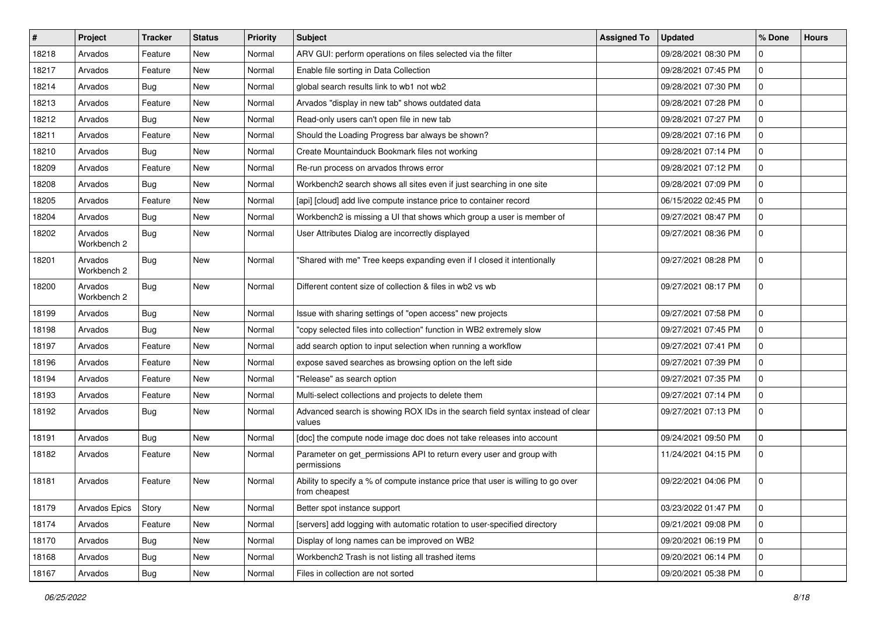| $\vert$ # | Project                | <b>Tracker</b> | <b>Status</b> | <b>Priority</b> | <b>Subject</b>                                                                                    | <b>Assigned To</b> | <b>Updated</b>      | % Done       | <b>Hours</b> |
|-----------|------------------------|----------------|---------------|-----------------|---------------------------------------------------------------------------------------------------|--------------------|---------------------|--------------|--------------|
| 18218     | Arvados                | Feature        | New           | Normal          | ARV GUI: perform operations on files selected via the filter                                      |                    | 09/28/2021 08:30 PM | 0            |              |
| 18217     | Arvados                | Feature        | <b>New</b>    | Normal          | Enable file sorting in Data Collection                                                            |                    | 09/28/2021 07:45 PM | 0            |              |
| 18214     | Arvados                | <b>Bug</b>     | New           | Normal          | global search results link to wb1 not wb2                                                         |                    | 09/28/2021 07:30 PM | $\mathbf{0}$ |              |
| 18213     | Arvados                | Feature        | New           | Normal          | Arvados "display in new tab" shows outdated data                                                  |                    | 09/28/2021 07:28 PM | 0            |              |
| 18212     | Arvados                | Bug            | <b>New</b>    | Normal          | Read-only users can't open file in new tab                                                        |                    | 09/28/2021 07:27 PM | 0            |              |
| 18211     | Arvados                | Feature        | New           | Normal          | Should the Loading Progress bar always be shown?                                                  |                    | 09/28/2021 07:16 PM | 0            |              |
| 18210     | Arvados                | Bug            | <b>New</b>    | Normal          | Create Mountainduck Bookmark files not working                                                    |                    | 09/28/2021 07:14 PM | 0            |              |
| 18209     | Arvados                | Feature        | New           | Normal          | Re-run process on arvados throws error                                                            |                    | 09/28/2021 07:12 PM | $\mathbf 0$  |              |
| 18208     | Arvados                | <b>Bug</b>     | New           | Normal          | Workbench2 search shows all sites even if just searching in one site                              |                    | 09/28/2021 07:09 PM | 0            |              |
| 18205     | Arvados                | Feature        | <b>New</b>    | Normal          | [api] [cloud] add live compute instance price to container record                                 |                    | 06/15/2022 02:45 PM | 0            |              |
| 18204     | Arvados                | Bug            | New           | Normal          | Workbench2 is missing a UI that shows which group a user is member of                             |                    | 09/27/2021 08:47 PM | 0            |              |
| 18202     | Arvados<br>Workbench 2 | <b>Bug</b>     | New           | Normal          | User Attributes Dialog are incorrectly displayed                                                  |                    | 09/27/2021 08:36 PM | 0            |              |
| 18201     | Arvados<br>Workbench 2 | Bug            | <b>New</b>    | Normal          | "Shared with me" Tree keeps expanding even if I closed it intentionally                           |                    | 09/27/2021 08:28 PM | 0            |              |
| 18200     | Arvados<br>Workbench 2 | Bug            | <b>New</b>    | Normal          | Different content size of collection & files in wb2 vs wb                                         |                    | 09/27/2021 08:17 PM | 0            |              |
| 18199     | Arvados                | Bug            | <b>New</b>    | Normal          | Issue with sharing settings of "open access" new projects                                         |                    | 09/27/2021 07:58 PM | 0            |              |
| 18198     | Arvados                | Bug            | New           | Normal          | "copy selected files into collection" function in WB2 extremely slow                              |                    | 09/27/2021 07:45 PM | 0            |              |
| 18197     | Arvados                | Feature        | New           | Normal          | add search option to input selection when running a workflow                                      |                    | 09/27/2021 07:41 PM | 0            |              |
| 18196     | Arvados                | Feature        | <b>New</b>    | Normal          | expose saved searches as browsing option on the left side                                         |                    | 09/27/2021 07:39 PM | 0            |              |
| 18194     | Arvados                | Feature        | New           | Normal          | "Release" as search option                                                                        |                    | 09/27/2021 07:35 PM | 0            |              |
| 18193     | Arvados                | Feature        | <b>New</b>    | Normal          | Multi-select collections and projects to delete them                                              |                    | 09/27/2021 07:14 PM | 0            |              |
| 18192     | Arvados                | Bug            | New           | Normal          | Advanced search is showing ROX IDs in the search field syntax instead of clear<br>values          |                    | 09/27/2021 07:13 PM | 0            |              |
| 18191     | Arvados                | Bug            | <b>New</b>    | Normal          | [doc] the compute node image doc does not take releases into account                              |                    | 09/24/2021 09:50 PM | $\mathbf{0}$ |              |
| 18182     | Arvados                | Feature        | New           | Normal          | Parameter on get_permissions API to return every user and group with<br>permissions               |                    | 11/24/2021 04:15 PM | 0            |              |
| 18181     | Arvados                | Feature        | <b>New</b>    | Normal          | Ability to specify a % of compute instance price that user is willing to go over<br>from cheapest |                    | 09/22/2021 04:06 PM | 0            |              |
| 18179     | Arvados Epics          | Story          | New           | Normal          | Better spot instance support                                                                      |                    | 03/23/2022 01:47 PM | 0            |              |
| 18174     | Arvados                | Feature        | New           | Normal          | [servers] add logging with automatic rotation to user-specified directory                         |                    | 09/21/2021 09:08 PM | $\mathbf 0$  |              |
| 18170     | Arvados                | <b>Bug</b>     | New           | Normal          | Display of long names can be improved on WB2                                                      |                    | 09/20/2021 06:19 PM | 0            |              |
| 18168     | Arvados                | <b>Bug</b>     | New           | Normal          | Workbench2 Trash is not listing all trashed items                                                 |                    | 09/20/2021 06:14 PM | 0            |              |
| 18167     | Arvados                | Bug            | New           | Normal          | Files in collection are not sorted                                                                |                    | 09/20/2021 05:38 PM | $\mathbf 0$  |              |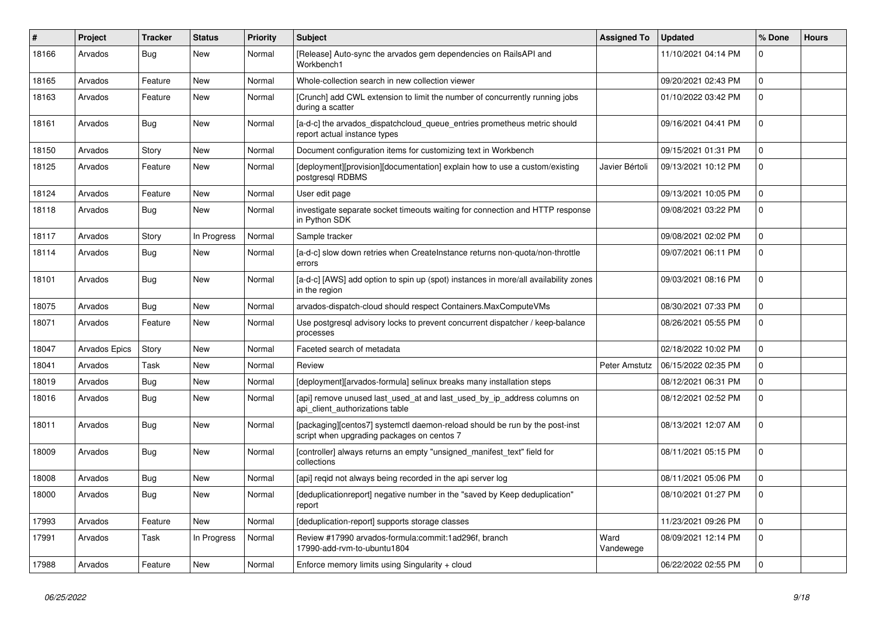| #     | Project       | <b>Tracker</b> | <b>Status</b> | <b>Priority</b> | <b>Subject</b>                                                                                                            | <b>Assigned To</b> | <b>Updated</b>      | % Done      | <b>Hours</b> |
|-------|---------------|----------------|---------------|-----------------|---------------------------------------------------------------------------------------------------------------------------|--------------------|---------------------|-------------|--------------|
| 18166 | Arvados       | <b>Bug</b>     | <b>New</b>    | Normal          | [Release] Auto-sync the arvados gem dependencies on RailsAPI and<br>Workbench1                                            |                    | 11/10/2021 04:14 PM | $\Omega$    |              |
| 18165 | Arvados       | Feature        | <b>New</b>    | Normal          | Whole-collection search in new collection viewer                                                                          |                    | 09/20/2021 02:43 PM | $\Omega$    |              |
| 18163 | Arvados       | Feature        | <b>New</b>    | Normal          | [Crunch] add CWL extension to limit the number of concurrently running jobs<br>during a scatter                           |                    | 01/10/2022 03:42 PM | $\Omega$    |              |
| 18161 | Arvados       | Bug            | New           | Normal          | [a-d-c] the arvados dispatchcloud queue entries prometheus metric should<br>report actual instance types                  |                    | 09/16/2021 04:41 PM | $\Omega$    |              |
| 18150 | Arvados       | Story          | New           | Normal          | Document configuration items for customizing text in Workbench                                                            |                    | 09/15/2021 01:31 PM | $\mathbf 0$ |              |
| 18125 | Arvados       | Feature        | New           | Normal          | [deployment][provision][documentation] explain how to use a custom/existing<br>postgresql RDBMS                           | Javier Bértoli     | 09/13/2021 10:12 PM | $\Omega$    |              |
| 18124 | Arvados       | Feature        | <b>New</b>    | Normal          | User edit page                                                                                                            |                    | 09/13/2021 10:05 PM | $\mathbf 0$ |              |
| 18118 | Arvados       | Bug            | <b>New</b>    | Normal          | investigate separate socket timeouts waiting for connection and HTTP response<br>in Python SDK                            |                    | 09/08/2021 03:22 PM | 0           |              |
| 18117 | Arvados       | Story          | In Progress   | Normal          | Sample tracker                                                                                                            |                    | 09/08/2021 02:02 PM | $\Omega$    |              |
| 18114 | Arvados       | Bug            | <b>New</b>    | Normal          | [a-d-c] slow down retries when CreateInstance returns non-quota/non-throttle<br>errors                                    |                    | 09/07/2021 06:11 PM | $\Omega$    |              |
| 18101 | Arvados       | <b>Bug</b>     | <b>New</b>    | Normal          | [a-d-c] [AWS] add option to spin up (spot) instances in more/all availability zones<br>in the region                      |                    | 09/03/2021 08:16 PM | $\mathbf 0$ |              |
| 18075 | Arvados       | <b>Bug</b>     | <b>New</b>    | Normal          | arvados-dispatch-cloud should respect Containers.MaxComputeVMs                                                            |                    | 08/30/2021 07:33 PM | $\Omega$    |              |
| 18071 | Arvados       | Feature        | <b>New</b>    | Normal          | Use postgresql advisory locks to prevent concurrent dispatcher / keep-balance<br>processes                                |                    | 08/26/2021 05:55 PM | 0           |              |
| 18047 | Arvados Epics | Story          | <b>New</b>    | Normal          | Faceted search of metadata                                                                                                |                    | 02/18/2022 10:02 PM | $\Omega$    |              |
| 18041 | Arvados       | Task           | <b>New</b>    | Normal          | Review                                                                                                                    | Peter Amstutz      | 06/15/2022 02:35 PM | $\mathbf 0$ |              |
| 18019 | Arvados       | Bug            | <b>New</b>    | Normal          | [deployment][arvados-formula] selinux breaks many installation steps                                                      |                    | 08/12/2021 06:31 PM | $\Omega$    |              |
| 18016 | Arvados       | <b>Bug</b>     | <b>New</b>    | Normal          | [api] remove unused last used at and last used by ip address columns on<br>api client authorizations table                |                    | 08/12/2021 02:52 PM | $\Omega$    |              |
| 18011 | Arvados       | Bug            | New           | Normal          | [packaging][centos7] systemctl daemon-reload should be run by the post-inst<br>script when upgrading packages on centos 7 |                    | 08/13/2021 12:07 AM | 0           |              |
| 18009 | Arvados       | <b>Bug</b>     | <b>New</b>    | Normal          | [controller] always returns an empty "unsigned manifest text" field for<br>collections                                    |                    | 08/11/2021 05:15 PM | $\Omega$    |              |
| 18008 | Arvados       | <b>Bug</b>     | <b>New</b>    | Normal          | [api] reqid not always being recorded in the api server log                                                               |                    | 08/11/2021 05:06 PM | $\mathbf 0$ |              |
| 18000 | Arvados       | Bug            | <b>New</b>    | Normal          | [deduplicationreport] negative number in the "saved by Keep deduplication"<br>report                                      |                    | 08/10/2021 01:27 PM | $\Omega$    |              |
| 17993 | Arvados       | Feature        | New           | Normal          | [deduplication-report] supports storage classes                                                                           |                    | 11/23/2021 09:26 PM | $\mathbf 0$ |              |
| 17991 | Arvados       | Task           | In Progress   | Normal          | Review #17990 arvados-formula:commit:1ad296f, branch<br>17990-add-rvm-to-ubuntu1804                                       | Ward<br>Vandewege  | 08/09/2021 12:14 PM | 0           |              |
| 17988 | Arvados       | Feature        | <b>New</b>    | Normal          | Enforce memory limits using Singularity + cloud                                                                           |                    | 06/22/2022 02:55 PM | $\Omega$    |              |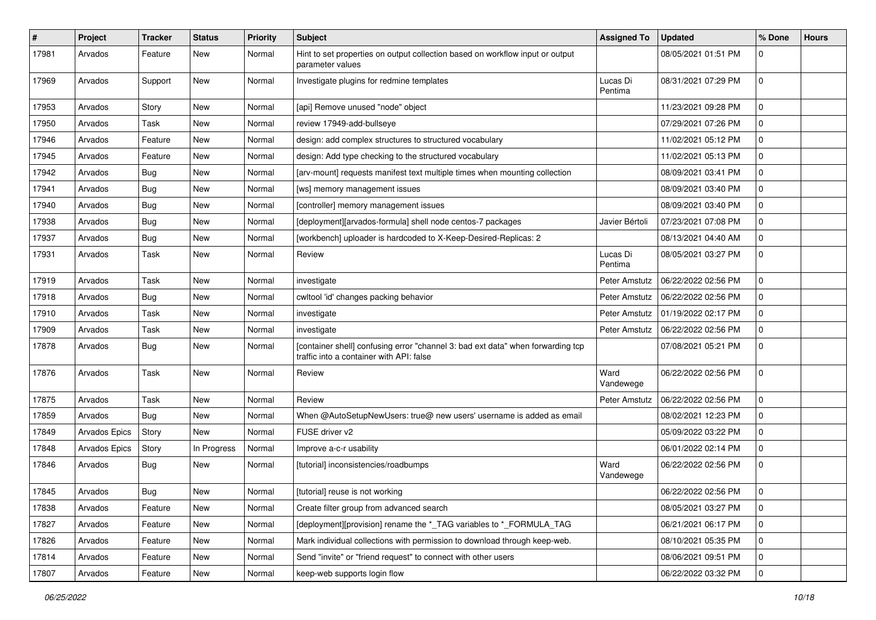| $\pmb{\#}$ | Project              | <b>Tracker</b> | <b>Status</b> | <b>Priority</b> | <b>Subject</b>                                                                                                              | <b>Assigned To</b>  | <b>Updated</b>      | % Done       | <b>Hours</b> |
|------------|----------------------|----------------|---------------|-----------------|-----------------------------------------------------------------------------------------------------------------------------|---------------------|---------------------|--------------|--------------|
| 17981      | Arvados              | Feature        | New           | Normal          | Hint to set properties on output collection based on workflow input or output<br>parameter values                           |                     | 08/05/2021 01:51 PM | 0            |              |
| 17969      | Arvados              | Support        | <b>New</b>    | Normal          | Investigate plugins for redmine templates                                                                                   | Lucas Di<br>Pentima | 08/31/2021 07:29 PM | 0            |              |
| 17953      | Arvados              | Story          | <b>New</b>    | Normal          | [api] Remove unused "node" object                                                                                           |                     | 11/23/2021 09:28 PM | 0            |              |
| 17950      | Arvados              | Task           | New           | Normal          | review 17949-add-bullseye                                                                                                   |                     | 07/29/2021 07:26 PM | 0            |              |
| 17946      | Arvados              | Feature        | <b>New</b>    | Normal          | design: add complex structures to structured vocabulary                                                                     |                     | 11/02/2021 05:12 PM | 0            |              |
| 17945      | Arvados              | Feature        | New           | Normal          | design: Add type checking to the structured vocabulary                                                                      |                     | 11/02/2021 05:13 PM | 0            |              |
| 17942      | Arvados              | <b>Bug</b>     | New           | Normal          | [arv-mount] requests manifest text multiple times when mounting collection                                                  |                     | 08/09/2021 03:41 PM | 0            |              |
| 17941      | Arvados              | Bug            | <b>New</b>    | Normal          | [ws] memory management issues                                                                                               |                     | 08/09/2021 03:40 PM | 0            |              |
| 17940      | Arvados              | <b>Bug</b>     | <b>New</b>    | Normal          | [controller] memory management issues                                                                                       |                     | 08/09/2021 03:40 PM | 0            |              |
| 17938      | Arvados              | <b>Bug</b>     | New           | Normal          | [deployment][arvados-formula] shell node centos-7 packages                                                                  | Javier Bértoli      | 07/23/2021 07:08 PM | 0            |              |
| 17937      | Arvados              | <b>Bug</b>     | New           | Normal          | [workbench] uploader is hardcoded to X-Keep-Desired-Replicas: 2                                                             |                     | 08/13/2021 04:40 AM | $\mathbf{0}$ |              |
| 17931      | Arvados              | Task           | New           | Normal          | Review                                                                                                                      | Lucas Di<br>Pentima | 08/05/2021 03:27 PM | 0            |              |
| 17919      | Arvados              | Task           | New           | Normal          | investigate                                                                                                                 | Peter Amstutz       | 06/22/2022 02:56 PM | $\mathbf{0}$ |              |
| 17918      | Arvados              | <b>Bug</b>     | New           | Normal          | cwltool 'id' changes packing behavior                                                                                       | Peter Amstutz       | 06/22/2022 02:56 PM | 0            |              |
| 17910      | Arvados              | Task           | <b>New</b>    | Normal          | investigate                                                                                                                 | Peter Amstutz       | 01/19/2022 02:17 PM | 0            |              |
| 17909      | Arvados              | Task           | New           | Normal          | investigate                                                                                                                 | Peter Amstutz       | 06/22/2022 02:56 PM | 0            |              |
| 17878      | Arvados              | <b>Bug</b>     | New           | Normal          | [container shell] confusing error "channel 3: bad ext data" when forwarding tcp<br>traffic into a container with API: false |                     | 07/08/2021 05:21 PM | $\Omega$     |              |
| 17876      | Arvados              | Task           | <b>New</b>    | Normal          | Review                                                                                                                      | Ward<br>Vandewege   | 06/22/2022 02:56 PM | $\Omega$     |              |
| 17875      | Arvados              | Task           | New           | Normal          | Review                                                                                                                      | Peter Amstutz       | 06/22/2022 02:56 PM | 0            |              |
| 17859      | Arvados              | <b>Bug</b>     | <b>New</b>    | Normal          | When @AutoSetupNewUsers: true@ new users' username is added as email                                                        |                     | 08/02/2021 12:23 PM | 0            |              |
| 17849      | <b>Arvados Epics</b> | Story          | <b>New</b>    | Normal          | FUSE driver v2                                                                                                              |                     | 05/09/2022 03:22 PM | 0            |              |
| 17848      | <b>Arvados Epics</b> | Story          | In Progress   | Normal          | Improve a-c-r usability                                                                                                     |                     | 06/01/2022 02:14 PM | 0            |              |
| 17846      | Arvados              | Bug            | New           | Normal          | [tutorial] inconsistencies/roadbumps                                                                                        | Ward<br>Vandewege   | 06/22/2022 02:56 PM | 0            |              |
| 17845      | Arvados              | Bug            | New           | Normal          | [tutorial] reuse is not working                                                                                             |                     | 06/22/2022 02:56 PM | $\mathbf 0$  |              |
| 17838      | Arvados              | Feature        | <b>New</b>    | Normal          | Create filter group from advanced search                                                                                    |                     | 08/05/2021 03:27 PM | $\mathbf 0$  |              |
| 17827      | Arvados              | Feature        | New           | Normal          | [deployment][provision] rename the *_TAG variables to *_FORMULA_TAG                                                         |                     | 06/21/2021 06:17 PM | $\mathbf 0$  |              |
| 17826      | Arvados              | Feature        | New           | Normal          | Mark individual collections with permission to download through keep-web.                                                   |                     | 08/10/2021 05:35 PM | 0            |              |
| 17814      | Arvados              | Feature        | New           | Normal          | Send "invite" or "friend request" to connect with other users                                                               |                     | 08/06/2021 09:51 PM | 0            |              |
| 17807      | Arvados              | Feature        | New           | Normal          | keep-web supports login flow                                                                                                |                     | 06/22/2022 03:32 PM | 0            |              |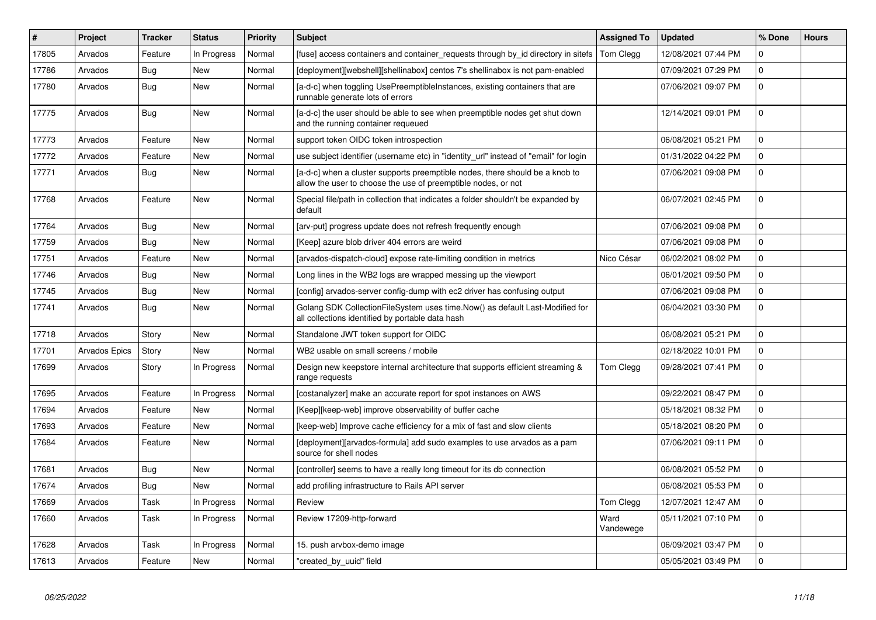| #     | <b>Project</b>       | <b>Tracker</b> | <b>Status</b> | Priority | <b>Subject</b>                                                                                                                                | <b>Assigned To</b> | <b>Updated</b>      | % Done      | <b>Hours</b> |
|-------|----------------------|----------------|---------------|----------|-----------------------------------------------------------------------------------------------------------------------------------------------|--------------------|---------------------|-------------|--------------|
| 17805 | Arvados              | Feature        | In Progress   | Normal   | [fuse] access containers and container_requests through by_id directory in sitefs                                                             | <b>Tom Clegg</b>   | 12/08/2021 07:44 PM | $\Omega$    |              |
| 17786 | Arvados              | Bug            | <b>New</b>    | Normal   | [deployment][webshell][shellinabox] centos 7's shellinabox is not pam-enabled                                                                 |                    | 07/09/2021 07:29 PM | 0           |              |
| 17780 | Arvados              | Bug            | <b>New</b>    | Normal   | [a-d-c] when toggling UsePreemptibleInstances, existing containers that are<br>runnable generate lots of errors                               |                    | 07/06/2021 09:07 PM | $\Omega$    |              |
| 17775 | Arvados              | Bug            | <b>New</b>    | Normal   | [a-d-c] the user should be able to see when preemptible nodes get shut down<br>and the running container requeued                             |                    | 12/14/2021 09:01 PM | $\mathbf 0$ |              |
| 17773 | Arvados              | Feature        | New           | Normal   | support token OIDC token introspection                                                                                                        |                    | 06/08/2021 05:21 PM | $\mathbf 0$ |              |
| 17772 | Arvados              | Feature        | New           | Normal   | use subject identifier (username etc) in "identity_url" instead of "email" for login                                                          |                    | 01/31/2022 04:22 PM | $\mathbf 0$ |              |
| 17771 | Arvados              | Bug            | <b>New</b>    | Normal   | [a-d-c] when a cluster supports preemptible nodes, there should be a knob to<br>allow the user to choose the use of preemptible nodes, or not |                    | 07/06/2021 09:08 PM | $\Omega$    |              |
| 17768 | Arvados              | Feature        | New           | Normal   | Special file/path in collection that indicates a folder shouldn't be expanded by<br>default                                                   |                    | 06/07/2021 02:45 PM | $\Omega$    |              |
| 17764 | Arvados              | Bug            | <b>New</b>    | Normal   | [arv-put] progress update does not refresh frequently enough                                                                                  |                    | 07/06/2021 09:08 PM | $\mathbf 0$ |              |
| 17759 | Arvados              | Bug            | <b>New</b>    | Normal   | [Keep] azure blob driver 404 errors are weird                                                                                                 |                    | 07/06/2021 09:08 PM | $\mathbf 0$ |              |
| 17751 | Arvados              | Feature        | <b>New</b>    | Normal   | [arvados-dispatch-cloud] expose rate-limiting condition in metrics                                                                            | Nico César         | 06/02/2021 08:02 PM | $\mathbf 0$ |              |
| 17746 | Arvados              | Bug            | <b>New</b>    | Normal   | Long lines in the WB2 logs are wrapped messing up the viewport                                                                                |                    | 06/01/2021 09:50 PM | $\Omega$    |              |
| 17745 | Arvados              | Bug            | <b>New</b>    | Normal   | [config] arvados-server config-dump with ec2 driver has confusing output                                                                      |                    | 07/06/2021 09:08 PM | 0           |              |
| 17741 | Arvados              | Bug            | New           | Normal   | Golang SDK CollectionFileSystem uses time.Now() as default Last-Modified for<br>all collections identified by portable data hash              |                    | 06/04/2021 03:30 PM | $\Omega$    |              |
| 17718 | Arvados              | Story          | <b>New</b>    | Normal   | Standalone JWT token support for OIDC                                                                                                         |                    | 06/08/2021 05:21 PM | $\mathbf 0$ |              |
| 17701 | <b>Arvados Epics</b> | Story          | <b>New</b>    | Normal   | WB2 usable on small screens / mobile                                                                                                          |                    | 02/18/2022 10:01 PM | 0           |              |
| 17699 | Arvados              | Story          | In Progress   | Normal   | Design new keepstore internal architecture that supports efficient streaming &<br>range reguests                                              | Tom Clegg          | 09/28/2021 07:41 PM | $\mathbf 0$ |              |
| 17695 | Arvados              | Feature        | In Progress   | Normal   | [costanalyzer] make an accurate report for spot instances on AWS                                                                              |                    | 09/22/2021 08:47 PM | $\mathbf 0$ |              |
| 17694 | Arvados              | Feature        | <b>New</b>    | Normal   | [Keep][keep-web] improve observability of buffer cache                                                                                        |                    | 05/18/2021 08:32 PM | $\mathbf 0$ |              |
| 17693 | Arvados              | Feature        | <b>New</b>    | Normal   | [keep-web] Improve cache efficiency for a mix of fast and slow clients                                                                        |                    | 05/18/2021 08:20 PM | $\Omega$    |              |
| 17684 | Arvados              | Feature        | <b>New</b>    | Normal   | [deployment][arvados-formula] add sudo examples to use arvados as a pam<br>source for shell nodes                                             |                    | 07/06/2021 09:11 PM | $\mathbf 0$ |              |
| 17681 | Arvados              | Bug            | <b>New</b>    | Normal   | [controller] seems to have a really long timeout for its db connection                                                                        |                    | 06/08/2021 05:52 PM | $\Omega$    |              |
| 17674 | Arvados              | Bug            | <b>New</b>    | Normal   | add profiling infrastructure to Rails API server                                                                                              |                    | 06/08/2021 05:53 PM | $\mathbf 0$ |              |
| 17669 | Arvados              | Task           | In Progress   | Normal   | Review                                                                                                                                        | Tom Clegg          | 12/07/2021 12:47 AM | 0           |              |
| 17660 | Arvados              | Task           | In Progress   | Normal   | Review 17209-http-forward                                                                                                                     | Ward<br>Vandewege  | 05/11/2021 07:10 PM | $\mathbf 0$ |              |
| 17628 | Arvados              | Task           | In Progress   | Normal   | 15. push arvbox-demo image                                                                                                                    |                    | 06/09/2021 03:47 PM | $\mathbf 0$ |              |
| 17613 | Arvados              | Feature        | <b>New</b>    | Normal   | "created_by_uuid" field                                                                                                                       |                    | 05/05/2021 03:49 PM | $\mathbf 0$ |              |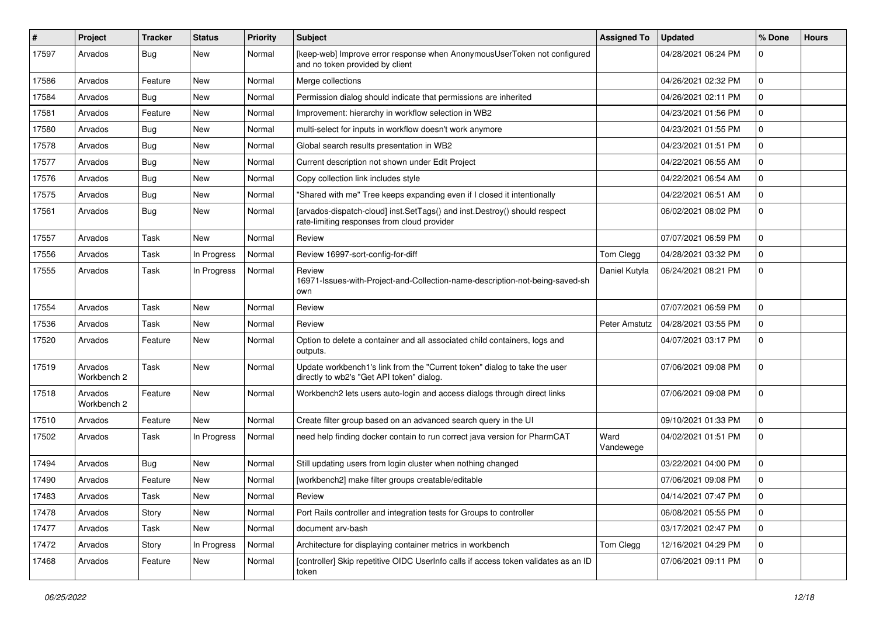| #     | Project                | <b>Tracker</b> | <b>Status</b> | <b>Priority</b> | <b>Subject</b>                                                                                                           | <b>Assigned To</b> | <b>Updated</b>      | % Done       | <b>Hours</b> |
|-------|------------------------|----------------|---------------|-----------------|--------------------------------------------------------------------------------------------------------------------------|--------------------|---------------------|--------------|--------------|
| 17597 | Arvados                | <b>Bug</b>     | New           | Normal          | [keep-web] Improve error response when AnonymousUserToken not configured<br>and no token provided by client              |                    | 04/28/2021 06:24 PM | $\Omega$     |              |
| 17586 | Arvados                | Feature        | New           | Normal          | Merge collections                                                                                                        |                    | 04/26/2021 02:32 PM | 0            |              |
| 17584 | Arvados                | <b>Bug</b>     | New           | Normal          | Permission dialog should indicate that permissions are inherited                                                         |                    | 04/26/2021 02:11 PM | 0            |              |
| 17581 | Arvados                | Feature        | New           | Normal          | Improvement: hierarchy in workflow selection in WB2                                                                      |                    | 04/23/2021 01:56 PM | 0            |              |
| 17580 | Arvados                | Bug            | New           | Normal          | multi-select for inputs in workflow doesn't work anymore                                                                 |                    | 04/23/2021 01:55 PM | 0            |              |
| 17578 | Arvados                | <b>Bug</b>     | <b>New</b>    | Normal          | Global search results presentation in WB2                                                                                |                    | 04/23/2021 01:51 PM | 0            |              |
| 17577 | Arvados                | <b>Bug</b>     | New           | Normal          | Current description not shown under Edit Project                                                                         |                    | 04/22/2021 06:55 AM | $\Omega$     |              |
| 17576 | Arvados                | Bug            | New           | Normal          | Copy collection link includes style                                                                                      |                    | 04/22/2021 06:54 AM | 0            |              |
| 17575 | Arvados                | <b>Bug</b>     | <b>New</b>    | Normal          | "Shared with me" Tree keeps expanding even if I closed it intentionally                                                  |                    | 04/22/2021 06:51 AM | 0            |              |
| 17561 | Arvados                | <b>Bug</b>     | New           | Normal          | [arvados-dispatch-cloud] inst.SetTags() and inst.Destroy() should respect<br>rate-limiting responses from cloud provider |                    | 06/02/2021 08:02 PM | 0            |              |
| 17557 | Arvados                | Task           | New           | Normal          | Review                                                                                                                   |                    | 07/07/2021 06:59 PM | 0            |              |
| 17556 | Arvados                | Task           | In Progress   | Normal          | Review 16997-sort-config-for-diff                                                                                        | Tom Clegg          | 04/28/2021 03:32 PM | 0            |              |
| 17555 | Arvados                | Task           | In Progress   | Normal          | Review<br>16971-Issues-with-Project-and-Collection-name-description-not-being-saved-sh<br>own                            | Daniel Kutyła      | 06/24/2021 08:21 PM | 0            |              |
| 17554 | Arvados                | Task           | <b>New</b>    | Normal          | Review                                                                                                                   |                    | 07/07/2021 06:59 PM | 0            |              |
| 17536 | Arvados                | Task           | <b>New</b>    | Normal          | Review                                                                                                                   | Peter Amstutz      | 04/28/2021 03:55 PM | 0            |              |
| 17520 | Arvados                | Feature        | New           | Normal          | Option to delete a container and all associated child containers, logs and<br>outputs.                                   |                    | 04/07/2021 03:17 PM | 0            |              |
| 17519 | Arvados<br>Workbench 2 | Task           | <b>New</b>    | Normal          | Update workbench1's link from the "Current token" dialog to take the user<br>directly to wb2's "Get API token" dialog.   |                    | 07/06/2021 09:08 PM | 0            |              |
| 17518 | Arvados<br>Workbench 2 | Feature        | <b>New</b>    | Normal          | Workbench2 lets users auto-login and access dialogs through direct links                                                 |                    | 07/06/2021 09:08 PM | $\Omega$     |              |
| 17510 | Arvados                | Feature        | <b>New</b>    | Normal          | Create filter group based on an advanced search query in the UI                                                          |                    | 09/10/2021 01:33 PM | 0            |              |
| 17502 | Arvados                | Task           | In Progress   | Normal          | need help finding docker contain to run correct java version for PharmCAT                                                | Ward<br>Vandewege  | 04/02/2021 01:51 PM | $\Omega$     |              |
| 17494 | Arvados                | Bug            | New           | Normal          | Still updating users from login cluster when nothing changed                                                             |                    | 03/22/2021 04:00 PM | 0            |              |
| 17490 | Arvados                | Feature        | New           | Normal          | [workbench2] make filter groups creatable/editable                                                                       |                    | 07/06/2021 09:08 PM | 0            |              |
| 17483 | Arvados                | Task           | New           | Normal          | Review                                                                                                                   |                    | 04/14/2021 07:47 PM | 0            |              |
| 17478 | Arvados                | Story          | New           | Normal          | Port Rails controller and integration tests for Groups to controller                                                     |                    | 06/08/2021 05:55 PM | $\mathbf{0}$ |              |
| 17477 | Arvados                | Task           | New           | Normal          | document arv-bash                                                                                                        |                    | 03/17/2021 02:47 PM | $\mathbf 0$  |              |
| 17472 | Arvados                | Story          | In Progress   | Normal          | Architecture for displaying container metrics in workbench                                                               | Tom Clegg          | 12/16/2021 04:29 PM | $\mathbf{0}$ |              |
| 17468 | Arvados                | Feature        | New           | Normal          | [controller] Skip repetitive OIDC UserInfo calls if access token validates as an ID<br>token                             |                    | 07/06/2021 09:11 PM | 0            |              |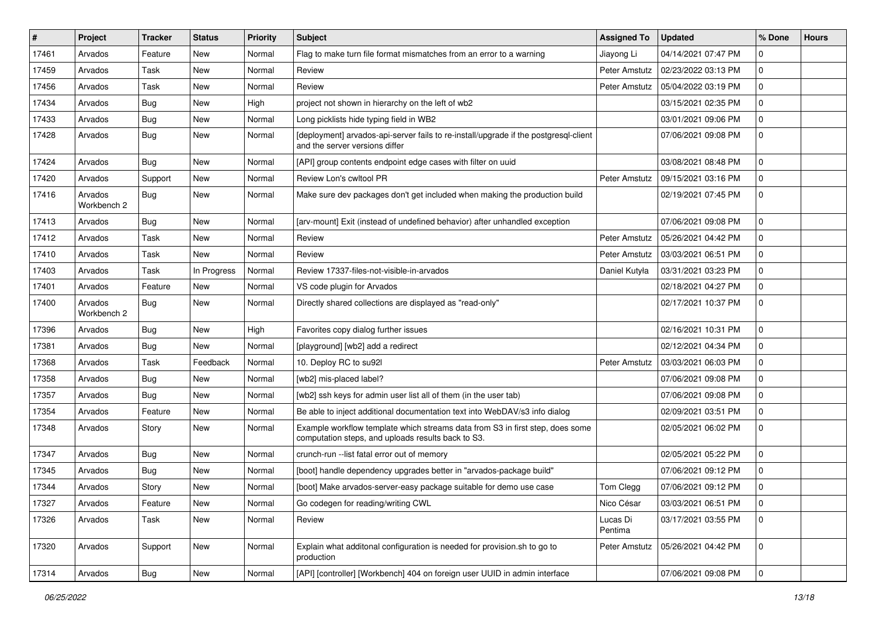| #     | <b>Project</b>         | <b>Tracker</b> | <b>Status</b> | Priority | <b>Subject</b>                                                                                                                      | <b>Assigned To</b>  | <b>Updated</b>      | % Done       | <b>Hours</b> |
|-------|------------------------|----------------|---------------|----------|-------------------------------------------------------------------------------------------------------------------------------------|---------------------|---------------------|--------------|--------------|
| 17461 | Arvados                | Feature        | New           | Normal   | Flag to make turn file format mismatches from an error to a warning                                                                 | Jiayong Li          | 04/14/2021 07:47 PM | 0            |              |
| 17459 | Arvados                | Task           | <b>New</b>    | Normal   | Review                                                                                                                              | Peter Amstutz       | 02/23/2022 03:13 PM | 0            |              |
| 17456 | Arvados                | Task           | New           | Normal   | Review                                                                                                                              | Peter Amstutz       | 05/04/2022 03:19 PM | $\mathbf{0}$ |              |
| 17434 | Arvados                | Bug            | <b>New</b>    | High     | project not shown in hierarchy on the left of wb2                                                                                   |                     | 03/15/2021 02:35 PM | 0            |              |
| 17433 | Arvados                | Bug            | <b>New</b>    | Normal   | Long picklists hide typing field in WB2                                                                                             |                     | 03/01/2021 09:06 PM | 0            |              |
| 17428 | Arvados                | Bug            | New           | Normal   | [deployment] arvados-api-server fails to re-install/upgrade if the postgresql-client<br>and the server versions differ              |                     | 07/06/2021 09:08 PM | 0            |              |
| 17424 | Arvados                | Bug            | <b>New</b>    | Normal   | [API] group contents endpoint edge cases with filter on uuid                                                                        |                     | 03/08/2021 08:48 PM | 0            |              |
| 17420 | Arvados                | Support        | <b>New</b>    | Normal   | Review Lon's cwltool PR                                                                                                             | Peter Amstutz       | 09/15/2021 03:16 PM | 0            |              |
| 17416 | Arvados<br>Workbench 2 | Bug            | New           | Normal   | Make sure dev packages don't get included when making the production build                                                          |                     | 02/19/2021 07:45 PM | 0            |              |
| 17413 | Arvados                | Bug            | <b>New</b>    | Normal   | [arv-mount] Exit (instead of undefined behavior) after unhandled exception                                                          |                     | 07/06/2021 09:08 PM | 0            |              |
| 17412 | Arvados                | Task           | <b>New</b>    | Normal   | Review                                                                                                                              | Peter Amstutz       | 05/26/2021 04:42 PM | 0            |              |
| 17410 | Arvados                | Task           | <b>New</b>    | Normal   | Review                                                                                                                              | Peter Amstutz       | 03/03/2021 06:51 PM | 0            |              |
| 17403 | Arvados                | Task           | In Progress   | Normal   | Review 17337-files-not-visible-in-arvados                                                                                           | Daniel Kutyła       | 03/31/2021 03:23 PM | 0            |              |
| 17401 | Arvados                | Feature        | New           | Normal   | VS code plugin for Arvados                                                                                                          |                     | 02/18/2021 04:27 PM | 0            |              |
| 17400 | Arvados<br>Workbench 2 | Bug            | New           | Normal   | Directly shared collections are displayed as "read-only"                                                                            |                     | 02/17/2021 10:37 PM | 0            |              |
| 17396 | Arvados                | Bug            | <b>New</b>    | High     | Favorites copy dialog further issues                                                                                                |                     | 02/16/2021 10:31 PM | $\mathbf{0}$ |              |
| 17381 | Arvados                | <b>Bug</b>     | New           | Normal   | [playground] [wb2] add a redirect                                                                                                   |                     | 02/12/2021 04:34 PM | 0            |              |
| 17368 | Arvados                | Task           | Feedback      | Normal   | 10. Deploy RC to su92l                                                                                                              | Peter Amstutz       | 03/03/2021 06:03 PM | 0            |              |
| 17358 | Arvados                | Bug            | <b>New</b>    | Normal   | [wb2] mis-placed label?                                                                                                             |                     | 07/06/2021 09:08 PM | 0            |              |
| 17357 | Arvados                | Bug            | <b>New</b>    | Normal   | [wb2] ssh keys for admin user list all of them (in the user tab)                                                                    |                     | 07/06/2021 09:08 PM | 0            |              |
| 17354 | Arvados                | Feature        | New           | Normal   | Be able to inject additional documentation text into WebDAV/s3 info dialog                                                          |                     | 02/09/2021 03:51 PM | $\mathbf{0}$ |              |
| 17348 | Arvados                | Story          | New           | Normal   | Example workflow template which streams data from S3 in first step, does some<br>computation steps, and uploads results back to S3. |                     | 02/05/2021 06:02 PM | 0            |              |
| 17347 | Arvados                | Bug            | <b>New</b>    | Normal   | crunch-run -- list fatal error out of memory                                                                                        |                     | 02/05/2021 05:22 PM | 0            |              |
| 17345 | Arvados                | Bug            | New           | Normal   | [boot] handle dependency upgrades better in "arvados-package build"                                                                 |                     | 07/06/2021 09:12 PM | 0            |              |
| 17344 | Arvados                | Story          | New           | Normal   | [boot] Make arvados-server-easy package suitable for demo use case                                                                  | Tom Clegg           | 07/06/2021 09:12 PM | 0            |              |
| 17327 | Arvados                | Feature        | New           | Normal   | Go codegen for reading/writing CWL                                                                                                  | Nico César          | 03/03/2021 06:51 PM | 0            |              |
| 17326 | Arvados                | Task           | New           | Normal   | Review                                                                                                                              | Lucas Di<br>Pentima | 03/17/2021 03:55 PM | 0            |              |
| 17320 | Arvados                | Support        | New           | Normal   | Explain what additonal configuration is needed for provision.sh to go to<br>production                                              | Peter Amstutz       | 05/26/2021 04:42 PM | $\mathbf{0}$ |              |
| 17314 | Arvados                | <b>Bug</b>     | New           | Normal   | [API] [controller] [Workbench] 404 on foreign user UUID in admin interface                                                          |                     | 07/06/2021 09:08 PM | 0            |              |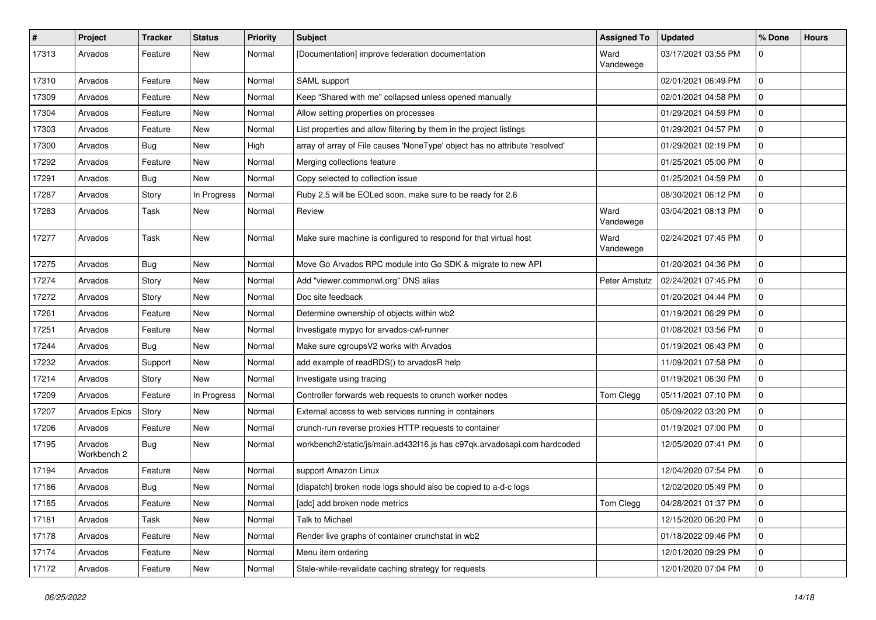| #     | Project                | <b>Tracker</b> | <b>Status</b> | <b>Priority</b> | <b>Subject</b>                                                              | <b>Assigned To</b> | <b>Updated</b>      | % Done       | <b>Hours</b> |
|-------|------------------------|----------------|---------------|-----------------|-----------------------------------------------------------------------------|--------------------|---------------------|--------------|--------------|
| 17313 | Arvados                | Feature        | New           | Normal          | [Documentation] improve federation documentation                            | Ward<br>Vandewege  | 03/17/2021 03:55 PM | 0            |              |
| 17310 | Arvados                | Feature        | New           | Normal          | SAML support                                                                |                    | 02/01/2021 06:49 PM | $\mathbf{0}$ |              |
| 17309 | Arvados                | Feature        | New           | Normal          | Keep "Shared with me" collapsed unless opened manually                      |                    | 02/01/2021 04:58 PM | 0            |              |
| 17304 | Arvados                | Feature        | <b>New</b>    | Normal          | Allow setting properties on processes                                       |                    | 01/29/2021 04:59 PM | 0            |              |
| 17303 | Arvados                | Feature        | New           | Normal          | List properties and allow filtering by them in the project listings         |                    | 01/29/2021 04:57 PM | 0            |              |
| 17300 | Arvados                | Bug            | <b>New</b>    | High            | array of array of File causes 'NoneType' object has no attribute 'resolved' |                    | 01/29/2021 02:19 PM | 0            |              |
| 17292 | Arvados                | Feature        | New           | Normal          | Merging collections feature                                                 |                    | 01/25/2021 05:00 PM | $\mathbf{0}$ |              |
| 17291 | Arvados                | Bug            | New           | Normal          | Copy selected to collection issue                                           |                    | 01/25/2021 04:59 PM | 0            |              |
| 17287 | Arvados                | Story          | In Progress   | Normal          | Ruby 2.5 will be EOLed soon, make sure to be ready for 2.6                  |                    | 08/30/2021 06:12 PM | 0            |              |
| 17283 | Arvados                | Task           | New           | Normal          | Review                                                                      | Ward<br>Vandewege  | 03/04/2021 08:13 PM | 0            |              |
| 17277 | Arvados                | Task           | New           | Normal          | Make sure machine is configured to respond for that virtual host            | Ward<br>Vandewege  | 02/24/2021 07:45 PM | 0            |              |
| 17275 | Arvados                | Bug            | <b>New</b>    | Normal          | Move Go Arvados RPC module into Go SDK & migrate to new API                 |                    | 01/20/2021 04:36 PM | 0            |              |
| 17274 | Arvados                | Story          | New           | Normal          | Add "viewer.commonwl.org" DNS alias                                         | Peter Amstutz      | 02/24/2021 07:45 PM | 0            |              |
| 17272 | Arvados                | Story          | New           | Normal          | Doc site feedback                                                           |                    | 01/20/2021 04:44 PM | 0            |              |
| 17261 | Arvados                | Feature        | <b>New</b>    | Normal          | Determine ownership of objects within wb2                                   |                    | 01/19/2021 06:29 PM | 0            |              |
| 17251 | Arvados                | Feature        | New           | Normal          | Investigate mypyc for arvados-cwl-runner                                    |                    | 01/08/2021 03:56 PM | 0            |              |
| 17244 | Arvados                | Bug            | New           | Normal          | Make sure cgroupsV2 works with Arvados                                      |                    | 01/19/2021 06:43 PM | 0            |              |
| 17232 | Arvados                | Support        | New           | Normal          | add example of readRDS() to arvadosR help                                   |                    | 11/09/2021 07:58 PM | 0            |              |
| 17214 | Arvados                | Story          | New           | Normal          | Investigate using tracing                                                   |                    | 01/19/2021 06:30 PM | 0            |              |
| 17209 | Arvados                | Feature        | In Progress   | Normal          | Controller forwards web requests to crunch worker nodes                     | Tom Clegg          | 05/11/2021 07:10 PM | 0            |              |
| 17207 | Arvados Epics          | Story          | New           | Normal          | External access to web services running in containers                       |                    | 05/09/2022 03:20 PM | $\mathbf 0$  |              |
| 17206 | Arvados                | Feature        | New           | Normal          | crunch-run reverse proxies HTTP requests to container                       |                    | 01/19/2021 07:00 PM | 0            |              |
| 17195 | Arvados<br>Workbench 2 | Bug            | New           | Normal          | workbench2/static/js/main.ad432f16.js has c97qk.arvadosapi.com hardcoded    |                    | 12/05/2020 07:41 PM | 0            |              |
| 17194 | Arvados                | Feature        | <b>New</b>    | Normal          | support Amazon Linux                                                        |                    | 12/04/2020 07:54 PM | 0            |              |
| 17186 | Arvados                | Bug            | New           | Normal          | [dispatch] broken node logs should also be copied to a-d-c logs             |                    | 12/02/2020 05:49 PM | 0            |              |
| 17185 | Arvados                | Feature        | New           | Normal          | [adc] add broken node metrics                                               | Tom Clegg          | 04/28/2021 01:37 PM | 0            |              |
| 17181 | Arvados                | Task           | New           | Normal          | Talk to Michael                                                             |                    | 12/15/2020 06:20 PM | 0            |              |
| 17178 | Arvados                | Feature        | New           | Normal          | Render live graphs of container crunchstat in wb2                           |                    | 01/18/2022 09:46 PM | $\mathbf 0$  |              |
| 17174 | Arvados                | Feature        | New           | Normal          | Menu item ordering                                                          |                    | 12/01/2020 09:29 PM | $\mathbf 0$  |              |
| 17172 | Arvados                | Feature        | New           | Normal          | Stale-while-revalidate caching strategy for requests                        |                    | 12/01/2020 07:04 PM | $\mathbf 0$  |              |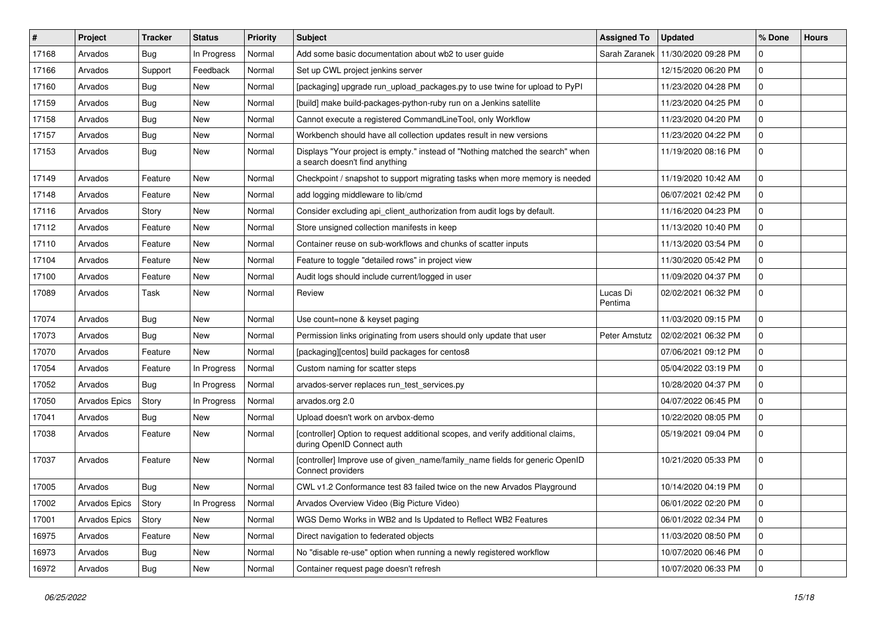| $\vert$ # | Project              | <b>Tracker</b> | <b>Status</b> | <b>Priority</b> | Subject                                                                                                          | <b>Assigned To</b>  | <b>Updated</b>      | % Done      | <b>Hours</b> |
|-----------|----------------------|----------------|---------------|-----------------|------------------------------------------------------------------------------------------------------------------|---------------------|---------------------|-------------|--------------|
| 17168     | Arvados              | Bug            | In Progress   | Normal          | Add some basic documentation about wb2 to user guide                                                             | Sarah Zaranek       | 11/30/2020 09:28 PM | 0           |              |
| 17166     | Arvados              | Support        | Feedback      | Normal          | Set up CWL project jenkins server                                                                                |                     | 12/15/2020 06:20 PM | 0           |              |
| 17160     | Arvados              | Bug            | New           | Normal          | [packaging] upgrade run_upload_packages.py to use twine for upload to PyPI                                       |                     | 11/23/2020 04:28 PM | 0           |              |
| 17159     | Arvados              | Bug            | <b>New</b>    | Normal          | [build] make build-packages-python-ruby run on a Jenkins satellite                                               |                     | 11/23/2020 04:25 PM | 0           |              |
| 17158     | Arvados              | Bug            | <b>New</b>    | Normal          | Cannot execute a registered CommandLineTool, only Workflow                                                       |                     | 11/23/2020 04:20 PM | 0           |              |
| 17157     | Arvados              | Bug            | New           | Normal          | Workbench should have all collection updates result in new versions                                              |                     | 11/23/2020 04:22 PM | 0           |              |
| 17153     | Arvados              | Bug            | New           | Normal          | Displays "Your project is empty." instead of "Nothing matched the search" when<br>a search doesn't find anything |                     | 11/19/2020 08:16 PM | 0           |              |
| 17149     | Arvados              | Feature        | New           | Normal          | Checkpoint / snapshot to support migrating tasks when more memory is needed                                      |                     | 11/19/2020 10:42 AM | 0           |              |
| 17148     | Arvados              | Feature        | <b>New</b>    | Normal          | add logging middleware to lib/cmd                                                                                |                     | 06/07/2021 02:42 PM | 0           |              |
| 17116     | Arvados              | Story          | New           | Normal          | Consider excluding api_client_authorization from audit logs by default.                                          |                     | 11/16/2020 04:23 PM | 0           |              |
| 17112     | Arvados              | Feature        | New           | Normal          | Store unsigned collection manifests in keep                                                                      |                     | 11/13/2020 10:40 PM | 0           |              |
| 17110     | Arvados              | Feature        | <b>New</b>    | Normal          | Container reuse on sub-workflows and chunks of scatter inputs                                                    |                     | 11/13/2020 03:54 PM | 0           |              |
| 17104     | Arvados              | Feature        | New           | Normal          | Feature to toggle "detailed rows" in project view                                                                |                     | 11/30/2020 05:42 PM | 0           |              |
| 17100     | Arvados              | Feature        | New           | Normal          | Audit logs should include current/logged in user                                                                 |                     | 11/09/2020 04:37 PM | 0           |              |
| 17089     | Arvados              | Task           | New           | Normal          | Review                                                                                                           | Lucas Di<br>Pentima | 02/02/2021 06:32 PM | 0           |              |
| 17074     | Arvados              | Bug            | <b>New</b>    | Normal          | Use count=none & keyset paging                                                                                   |                     | 11/03/2020 09:15 PM | 0           |              |
| 17073     | Arvados              | Bug            | New           | Normal          | Permission links originating from users should only update that user                                             | Peter Amstutz       | 02/02/2021 06:32 PM | 0           |              |
| 17070     | Arvados              | Feature        | New           | Normal          | [packaging][centos] build packages for centos8                                                                   |                     | 07/06/2021 09:12 PM | 0           |              |
| 17054     | Arvados              | Feature        | In Progress   | Normal          | Custom naming for scatter steps                                                                                  |                     | 05/04/2022 03:19 PM | 0           |              |
| 17052     | Arvados              | Bug            | In Progress   | Normal          | arvados-server replaces run_test_services.py                                                                     |                     | 10/28/2020 04:37 PM | 0           |              |
| 17050     | <b>Arvados Epics</b> | Story          | In Progress   | Normal          | arvados.org 2.0                                                                                                  |                     | 04/07/2022 06:45 PM | 0           |              |
| 17041     | Arvados              | Bug            | New           | Normal          | Upload doesn't work on arvbox-demo                                                                               |                     | 10/22/2020 08:05 PM | 0           |              |
| 17038     | Arvados              | Feature        | New           | Normal          | [controller] Option to request additional scopes, and verify additional claims,<br>during OpenID Connect auth    |                     | 05/19/2021 09:04 PM | 0           |              |
| 17037     | Arvados              | Feature        | <b>New</b>    | Normal          | [controller] Improve use of given_name/family_name fields for generic OpenID<br>Connect providers                |                     | 10/21/2020 05:33 PM | 0           |              |
| 17005     | Arvados              | Bug            | New           | Normal          | CWL v1.2 Conformance test 83 failed twice on the new Arvados Playground                                          |                     | 10/14/2020 04:19 PM | 0           |              |
| 17002     | Arvados Epics        | Story          | In Progress   | Normal          | Arvados Overview Video (Big Picture Video)                                                                       |                     | 06/01/2022 02:20 PM | 0           |              |
| 17001     | Arvados Epics        | Story          | New           | Normal          | WGS Demo Works in WB2 and Is Updated to Reflect WB2 Features                                                     |                     | 06/01/2022 02:34 PM | 0           |              |
| 16975     | Arvados              | Feature        | New           | Normal          | Direct navigation to federated objects                                                                           |                     | 11/03/2020 08:50 PM | $\mathbf 0$ |              |
| 16973     | Arvados              | Bug            | New           | Normal          | No "disable re-use" option when running a newly registered workflow                                              |                     | 10/07/2020 06:46 PM | 0           |              |
| 16972     | Arvados              | Bug            | New           | Normal          | Container request page doesn't refresh                                                                           |                     | 10/07/2020 06:33 PM | 0           |              |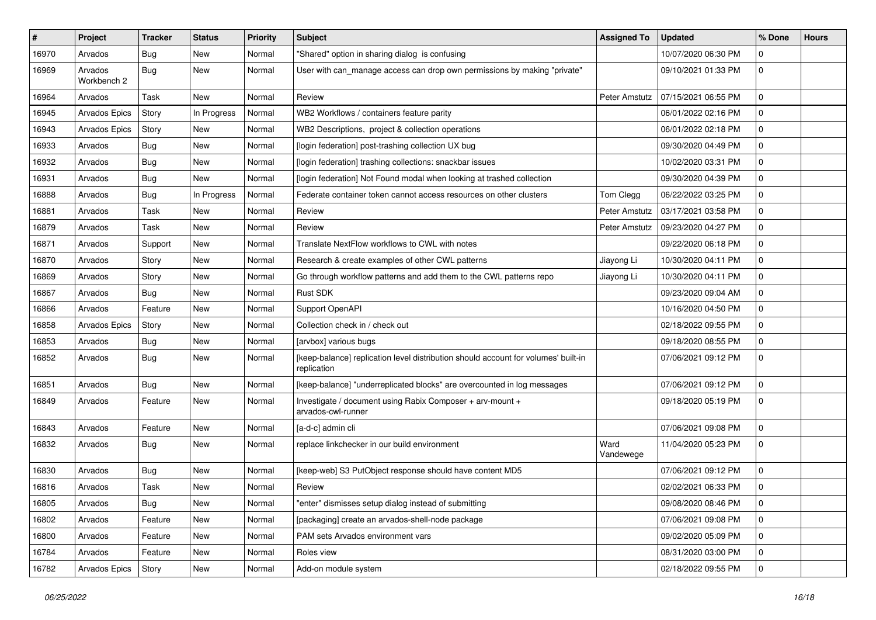| ∦     | Project                | <b>Tracker</b> | <b>Status</b> | <b>Priority</b> | <b>Subject</b>                                                                                    | <b>Assigned To</b> | <b>Updated</b>      | % Done      | <b>Hours</b> |
|-------|------------------------|----------------|---------------|-----------------|---------------------------------------------------------------------------------------------------|--------------------|---------------------|-------------|--------------|
| 16970 | Arvados                | Bug            | New           | Normal          | "Shared" option in sharing dialog is confusing                                                    |                    | 10/07/2020 06:30 PM | 0           |              |
| 16969 | Arvados<br>Workbench 2 | Bug            | <b>New</b>    | Normal          | User with can_manage access can drop own permissions by making "private"                          |                    | 09/10/2021 01:33 PM | 0           |              |
| 16964 | Arvados                | Task           | <b>New</b>    | Normal          | Review                                                                                            | Peter Amstutz      | 07/15/2021 06:55 PM | 0           |              |
| 16945 | Arvados Epics          | Story          | In Progress   | Normal          | WB2 Workflows / containers feature parity                                                         |                    | 06/01/2022 02:16 PM | 0           |              |
| 16943 | Arvados Epics          | Story          | <b>New</b>    | Normal          | WB2 Descriptions, project & collection operations                                                 |                    | 06/01/2022 02:18 PM | 0           |              |
| 16933 | Arvados                | Bug            | <b>New</b>    | Normal          | [login federation] post-trashing collection UX bug                                                |                    | 09/30/2020 04:49 PM | $\mathbf 0$ |              |
| 16932 | Arvados                | Bug            | New           | Normal          | [login federation] trashing collections: snackbar issues                                          |                    | 10/02/2020 03:31 PM | 0           |              |
| 16931 | Arvados                | Bug            | <b>New</b>    | Normal          | [login federation] Not Found modal when looking at trashed collection                             |                    | 09/30/2020 04:39 PM | 0           |              |
| 16888 | Arvados                | Bug            | In Progress   | Normal          | Federate container token cannot access resources on other clusters                                | Tom Clegg          | 06/22/2022 03:25 PM | 0           |              |
| 16881 | Arvados                | Task           | <b>New</b>    | Normal          | Review                                                                                            | Peter Amstutz      | 03/17/2021 03:58 PM | 0           |              |
| 16879 | Arvados                | Task           | <b>New</b>    | Normal          | Review                                                                                            | Peter Amstutz      | 09/23/2020 04:27 PM | 0           |              |
| 16871 | Arvados                | Support        | <b>New</b>    | Normal          | Translate NextFlow workflows to CWL with notes                                                    |                    | 09/22/2020 06:18 PM | 0           |              |
| 16870 | Arvados                | Story          | New           | Normal          | Research & create examples of other CWL patterns                                                  | Jiayong Li         | 10/30/2020 04:11 PM | 0           |              |
| 16869 | Arvados                | Story          | <b>New</b>    | Normal          | Go through workflow patterns and add them to the CWL patterns repo                                | Jiayong Li         | 10/30/2020 04:11 PM | 0           |              |
| 16867 | Arvados                | Bug            | New           | Normal          | <b>Rust SDK</b>                                                                                   |                    | 09/23/2020 09:04 AM | 0           |              |
| 16866 | Arvados                | Feature        | New           | Normal          | Support OpenAPI                                                                                   |                    | 10/16/2020 04:50 PM | 0           |              |
| 16858 | <b>Arvados Epics</b>   | Story          | New           | Normal          | Collection check in / check out                                                                   |                    | 02/18/2022 09:55 PM | 0           |              |
| 16853 | Arvados                | <b>Bug</b>     | New           | Normal          | [arvbox] various bugs                                                                             |                    | 09/18/2020 08:55 PM | 0           |              |
| 16852 | Arvados                | <b>Bug</b>     | New           | Normal          | [keep-balance] replication level distribution should account for volumes' built-in<br>replication |                    | 07/06/2021 09:12 PM | $\Omega$    |              |
| 16851 | Arvados                | Bug            | <b>New</b>    | Normal          | [keep-balance] "underreplicated blocks" are overcounted in log messages                           |                    | 07/06/2021 09:12 PM | 0           |              |
| 16849 | Arvados                | Feature        | New           | Normal          | Investigate / document using Rabix Composer + arv-mount +<br>arvados-cwl-runner                   |                    | 09/18/2020 05:19 PM | 0           |              |
| 16843 | Arvados                | Feature        | <b>New</b>    | Normal          | [a-d-c] admin cli                                                                                 |                    | 07/06/2021 09:08 PM | 0           |              |
| 16832 | Arvados                | Bug            | New           | Normal          | replace linkchecker in our build environment                                                      | Ward<br>Vandewege  | 11/04/2020 05:23 PM | 0           |              |
| 16830 | Arvados                | <b>Bug</b>     | New           | Normal          | [keep-web] S3 PutObject response should have content MD5                                          |                    | 07/06/2021 09:12 PM | 0           |              |
| 16816 | Arvados                | Task           | New           | Normal          | Review                                                                                            |                    | 02/02/2021 06:33 PM | 0           |              |
| 16805 | Arvados                | Bug            | New           | Normal          | "enter" dismisses setup dialog instead of submitting                                              |                    | 09/08/2020 08:46 PM | 0           |              |
| 16802 | Arvados                | Feature        | <b>New</b>    | Normal          | [packaging] create an arvados-shell-node package                                                  |                    | 07/06/2021 09:08 PM | 0           |              |
| 16800 | Arvados                | Feature        | New           | Normal          | PAM sets Arvados environment vars                                                                 |                    | 09/02/2020 05:09 PM | $\mathbf 0$ |              |
| 16784 | Arvados                | Feature        | New           | Normal          | Roles view                                                                                        |                    | 08/31/2020 03:00 PM | 0           |              |
| 16782 | Arvados Epics          | Story          | New           | Normal          | Add-on module system                                                                              |                    | 02/18/2022 09:55 PM | 0           |              |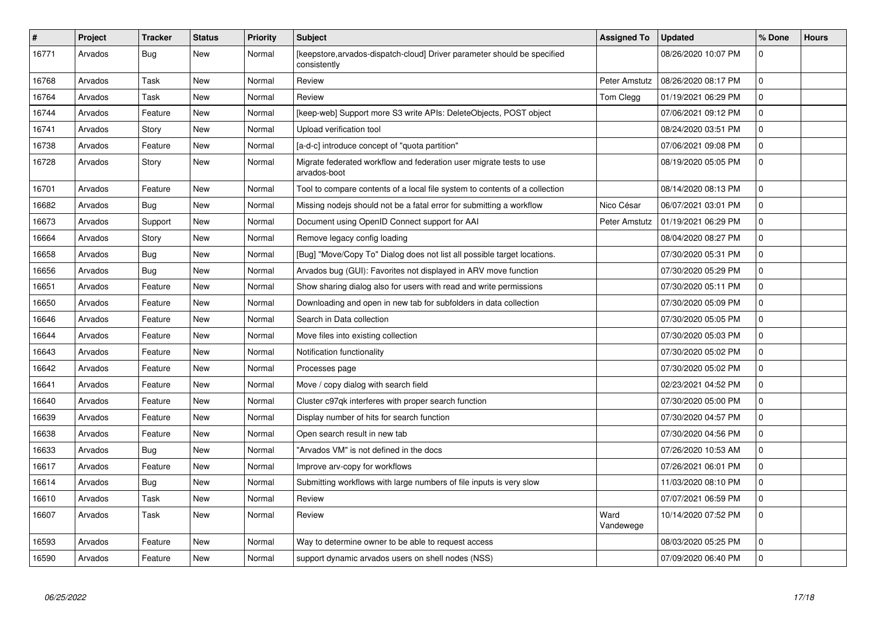| $\vert$ # | Project | <b>Tracker</b> | <b>Status</b> | Priority | <b>Subject</b>                                                                           | <b>Assigned To</b> | <b>Updated</b>      | % Done       | <b>Hours</b> |
|-----------|---------|----------------|---------------|----------|------------------------------------------------------------------------------------------|--------------------|---------------------|--------------|--------------|
| 16771     | Arvados | <b>Bug</b>     | New           | Normal   | [keepstore, arvados-dispatch-cloud] Driver parameter should be specified<br>consistently |                    | 08/26/2020 10:07 PM | $\Omega$     |              |
| 16768     | Arvados | Task           | New           | Normal   | Review                                                                                   | Peter Amstutz      | 08/26/2020 08:17 PM | $\Omega$     |              |
| 16764     | Arvados | Task           | New           | Normal   | Review                                                                                   | Tom Clegg          | 01/19/2021 06:29 PM | 0            |              |
| 16744     | Arvados | Feature        | <b>New</b>    | Normal   | [keep-web] Support more S3 write APIs: DeleteObjects, POST object                        |                    | 07/06/2021 09:12 PM | 0            |              |
| 16741     | Arvados | Story          | New           | Normal   | Upload verification tool                                                                 |                    | 08/24/2020 03:51 PM | $\Omega$     |              |
| 16738     | Arvados | Feature        | <b>New</b>    | Normal   | [a-d-c] introduce concept of "quota partition"                                           |                    | 07/06/2021 09:08 PM | $\mathbf 0$  |              |
| 16728     | Arvados | Story          | New           | Normal   | Migrate federated workflow and federation user migrate tests to use<br>arvados-boot      |                    | 08/19/2020 05:05 PM | $\Omega$     |              |
| 16701     | Arvados | Feature        | <b>New</b>    | Normal   | Tool to compare contents of a local file system to contents of a collection              |                    | 08/14/2020 08:13 PM | $\Omega$     |              |
| 16682     | Arvados | Bug            | New           | Normal   | Missing nodejs should not be a fatal error for submitting a workflow                     | Nico César         | 06/07/2021 03:01 PM | 0            |              |
| 16673     | Arvados | Support        | <b>New</b>    | Normal   | Document using OpenID Connect support for AAI                                            | Peter Amstutz      | 01/19/2021 06:29 PM | $\mathbf 0$  |              |
| 16664     | Arvados | Story          | New           | Normal   | Remove legacy config loading                                                             |                    | 08/04/2020 08:27 PM | $\mathbf{0}$ |              |
| 16658     | Arvados | Bug            | <b>New</b>    | Normal   | [Bug] "Move/Copy To" Dialog does not list all possible target locations.                 |                    | 07/30/2020 05:31 PM | $\Omega$     |              |
| 16656     | Arvados | Bug            | New           | Normal   | Arvados bug (GUI): Favorites not displayed in ARV move function                          |                    | 07/30/2020 05:29 PM | $\mathbf{0}$ |              |
| 16651     | Arvados | Feature        | New           | Normal   | Show sharing dialog also for users with read and write permissions                       |                    | 07/30/2020 05:11 PM | $\Omega$     |              |
| 16650     | Arvados | Feature        | New           | Normal   | Downloading and open in new tab for subfolders in data collection                        |                    | 07/30/2020 05:09 PM | $\mathbf{0}$ |              |
| 16646     | Arvados | Feature        | New           | Normal   | Search in Data collection                                                                |                    | 07/30/2020 05:05 PM | $\Omega$     |              |
| 16644     | Arvados | Feature        | New           | Normal   | Move files into existing collection                                                      |                    | 07/30/2020 05:03 PM | 0            |              |
| 16643     | Arvados | Feature        | New           | Normal   | Notification functionality                                                               |                    | 07/30/2020 05:02 PM | 0            |              |
| 16642     | Arvados | Feature        | New           | Normal   | Processes page                                                                           |                    | 07/30/2020 05:02 PM | 0            |              |
| 16641     | Arvados | Feature        | New           | Normal   | Move / copy dialog with search field                                                     |                    | 02/23/2021 04:52 PM | 0            |              |
| 16640     | Arvados | Feature        | New           | Normal   | Cluster c97qk interferes with proper search function                                     |                    | 07/30/2020 05:00 PM | 0            |              |
| 16639     | Arvados | Feature        | New           | Normal   | Display number of hits for search function                                               |                    | 07/30/2020 04:57 PM | 0            |              |
| 16638     | Arvados | Feature        | <b>New</b>    | Normal   | Open search result in new tab                                                            |                    | 07/30/2020 04:56 PM | $\Omega$     |              |
| 16633     | Arvados | Bug            | New           | Normal   | "Arvados VM" is not defined in the docs                                                  |                    | 07/26/2020 10:53 AM | 0            |              |
| 16617     | Arvados | Feature        | <b>New</b>    | Normal   | Improve arv-copy for workflows                                                           |                    | 07/26/2021 06:01 PM | $\Omega$     |              |
| 16614     | Arvados | Bug            | New           | Normal   | Submitting workflows with large numbers of file inputs is very slow                      |                    | 11/03/2020 08:10 PM | $\mathbf{0}$ |              |
| 16610     | Arvados | Task           | <b>New</b>    | Normal   | Review                                                                                   |                    | 07/07/2021 06:59 PM | 0            |              |
| 16607     | Arvados | Task           | New           | Normal   | Review                                                                                   | Ward<br>Vandewege  | 10/14/2020 07:52 PM | $\Omega$     |              |
| 16593     | Arvados | Feature        | New           | Normal   | Way to determine owner to be able to request access                                      |                    | 08/03/2020 05:25 PM | 0            |              |
| 16590     | Arvados | Feature        | New           | Normal   | support dynamic arvados users on shell nodes (NSS)                                       |                    | 07/09/2020 06:40 PM | $\Omega$     |              |